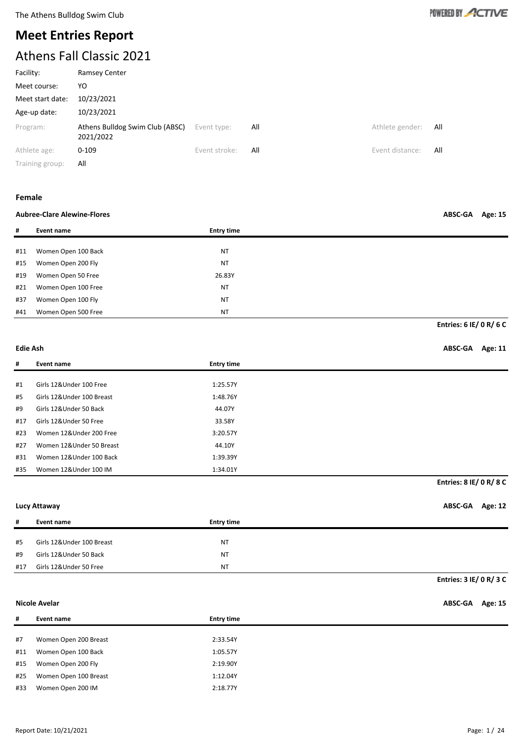

# **Meet Entries Report** Athens Fall Classic 2021

| Athlete gender:<br>All |
|------------------------|
| Event distance:<br>All |
|                        |

Training group: All

#### **Female**

#### **Aubree-Clare Alewine-Flores ABSC-GA Age: 15**

**# Event name Entry time** #11 Women Open 100 Back NT #15 Women Open 200 Fly NT #19 Women Open 50 Free 26.83Y #21 Women Open 100 Free NT #37 Women Open 100 Fly NT #41 Women Open 500 Free NT

**Entries: 6 IE/ 0 R/ 6 C**

#### **Edie Ash ABSC-GA Age: 11**

| #   | Event name                 | <b>Entry time</b> |
|-----|----------------------------|-------------------|
|     |                            |                   |
| #1  | Girls 12&Under 100 Free    | 1:25.57Y          |
| #5  | Girls 12& Under 100 Breast | 1:48.76Y          |
| #9  | Girls 12&Under 50 Back     | 44.07Y            |
| #17 | Girls 12&Under 50 Free     | 33.58Y            |
| #23 | Women 12&Under 200 Free    | 3:20.57Y          |
| #27 | Women 12&Under 50 Breast   | 44.10Y            |
| #31 | Women 12&Under 100 Back    | 1:39.39Y          |
| #35 | Women 12&Under 100 IM      | 1:34.01Y          |

### **Entries: 8 IE/ 0 R/ 8 C**

**Lucy Attaway ABSC-GA Age: 12**

**Entries: 3 IE/ 0 R/ 3 C**

| #   | Event name                | <b>Entry time</b> |
|-----|---------------------------|-------------------|
|     |                           |                   |
| #5  | Girls 12&Under 100 Breast | NT                |
| #9  | Girls 12&Under 50 Back    | <b>NT</b>         |
| #17 | Girls 12&Under 50 Free    | NT                |

#### **Nicole Avelar ABSC-GA Age: 15**

| #   | Event name            | <b>Entry time</b> |
|-----|-----------------------|-------------------|
|     |                       |                   |
| #7  | Women Open 200 Breast | 2:33.54Y          |
| #11 | Women Open 100 Back   | 1:05.57Y          |
| #15 | Women Open 200 Fly    | 2:19.90Y          |
| #25 | Women Open 100 Breast | 1:12.04Y          |
| #33 | Women Open 200 IM     | 2:18.77Y          |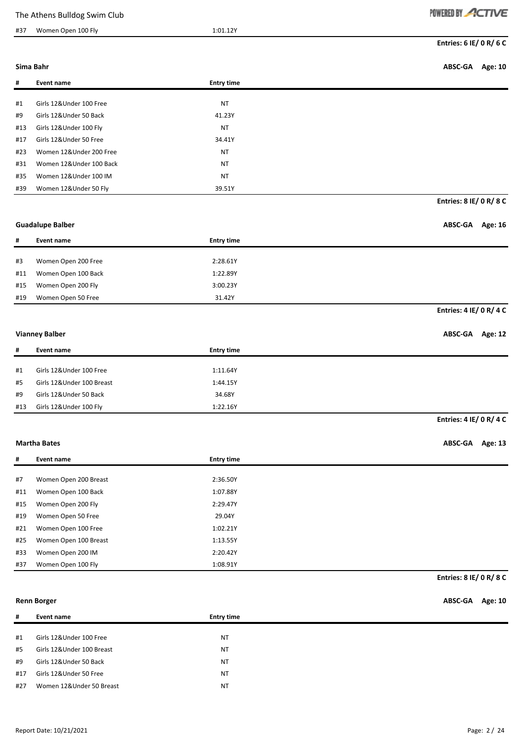#### #37 Women Open 100 Fly 1:01.12Y

|  | POWERED | - 61 - |  |  |
|--|---------|--------|--|--|
|--|---------|--------|--|--|

#### **Sima Bahr ABSC-GA Age: 10**

**Entries: 8 IE/ 0 R/ 8 C**

| #   | Event name              | <b>Entry time</b> |
|-----|-------------------------|-------------------|
|     |                         |                   |
| #1  | Girls 12&Under 100 Free | <b>NT</b>         |
| #9  | Girls 12&Under 50 Back  | 41.23Y            |
| #13 | Girls 12&Under 100 Fly  | <b>NT</b>         |
| #17 | Girls 12&Under 50 Free  | 34.41Y            |
| #23 | Women 12&Under 200 Free | <b>NT</b>         |
| #31 | Women 12&Under 100 Back | <b>NT</b>         |
| #35 | Women 12&Under 100 IM   | <b>NT</b>         |
| #39 | Women 12&Under 50 Fly   | 39.51Y            |

### **Guadalupe Balber ABSC-GA Age: 16**

# **# Event name Entry time** #3 Women Open 200 Free 2:28.61Y #11 Women Open 100 Back 1:22.89Y #15 Women Open 200 Fly 3:00.23Y #19 Women Open 50 Free 31.42Y **Entries: 4 IE/ 0 R/ 4 C**

#### **Vianney Balber ABSC-GA Age: 12**

| #   | Event name                | <b>Entry time</b> |
|-----|---------------------------|-------------------|
|     |                           |                   |
| #1  | Girls 12&Under 100 Free   | 1:11.64Y          |
| #5  | Girls 12&Under 100 Breast | 1:44.15Y          |
| #9  | Girls 12&Under 50 Back    | 34.68Y            |
| #13 | Girls 12&Under 100 Fly    | 1:22.16Y          |

**Entries: 4 IE/ 0 R/ 4 C**

#### **Martha Bates ABSC-GA Age: 13**

**Entries: 8 IE/ 0 R/ 8 C**

| #   | Event name            | <b>Entry time</b> |
|-----|-----------------------|-------------------|
|     |                       |                   |
| #7  | Women Open 200 Breast | 2:36.50Y          |
| #11 | Women Open 100 Back   | 1:07.88Y          |
| #15 | Women Open 200 Fly    | 2:29.47Y          |
| #19 | Women Open 50 Free    | 29.04Y            |
| #21 | Women Open 100 Free   | 1:02.21Y          |
| #25 | Women Open 100 Breast | 1:13.55Y          |
| #33 | Women Open 200 IM     | 2:20.42Y          |
| #37 | Women Open 100 Fly    | 1:08.91Y          |

#### **Renn Borger ABSC-GA Age: 10**

| #   | Event name                | <b>Entry time</b> |
|-----|---------------------------|-------------------|
|     |                           |                   |
| #1  | Girls 12&Under 100 Free   | <b>NT</b>         |
| #5  | Girls 12&Under 100 Breast | <b>NT</b>         |
| #9  | Girls 12&Under 50 Back    | <b>NT</b>         |
| #17 | Girls 12&Under 50 Free    | <b>NT</b>         |
| #27 | Women 12&Under 50 Breast  | <b>NT</b>         |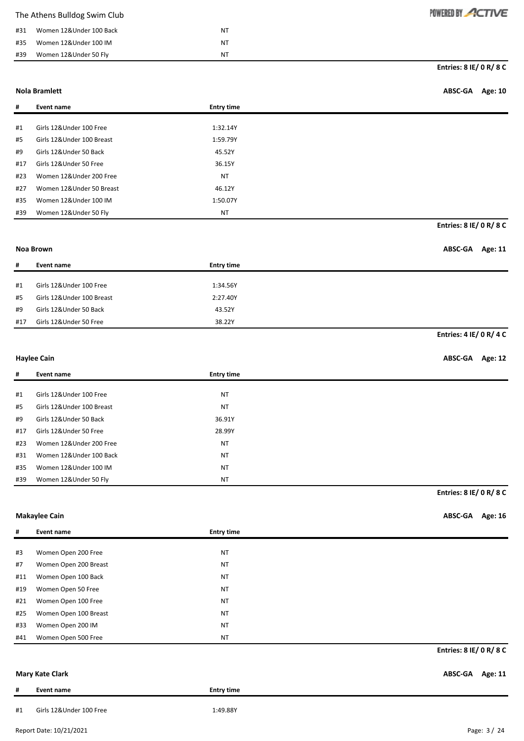|     | The Athens Bulldog Swim Club |    | POWERED BY ACTIVE         |
|-----|------------------------------|----|---------------------------|
| #31 | Women 12&Under 100 Back      | NT |                           |
| #35 | Women 12&Under 100 IM        | NT |                           |
| #39 | Women 12&Under 50 Fly        | NT |                           |
|     |                              |    | Entries: $8$ IE/ 0 R/ 8 C |

**Nola Bramlett ABSC-GA Age: 10**

| #   | Event name                | <b>Entry time</b> |
|-----|---------------------------|-------------------|
|     |                           |                   |
| #1  | Girls 12&Under 100 Free   | 1:32.14Y          |
| #5  | Girls 12&Under 100 Breast | 1:59.79Y          |
| #9  | Girls 12&Under 50 Back    | 45.52Y            |
| #17 | Girls 12&Under 50 Free    | 36.15Y            |
| #23 | Women 12&Under 200 Free   | <b>NT</b>         |
| #27 | Women 12&Under 50 Breast  | 46.12Y            |
| #35 | Women 12&Under 100 IM     | 1:50.07Y          |
| #39 | Women 12&Under 50 Fly     | <b>NT</b>         |

**Entries: 8 IE/ 0 R/ 8 C**

### **Noa Brown ABSC-GA Age: 11**

| #   | Event name                | <b>Entry time</b> |
|-----|---------------------------|-------------------|
|     |                           |                   |
| #1  | Girls 12&Under 100 Free   | 1:34.56Y          |
| #5  | Girls 12&Under 100 Breast | 2:27.40Y          |
| #9  | Girls 12&Under 50 Back    | 43.52Y            |
| #17 | Girls 12&Under 50 Free    | 38.22Y            |

**Entries: 4 IE/ 0 R/ 4 C**

#### **Haylee Cain ABSC-GA Age: 12**

| #   | Event name                | <b>Entry time</b> |
|-----|---------------------------|-------------------|
|     |                           |                   |
| #1  | Girls 12&Under 100 Free   | <b>NT</b>         |
| #5  | Girls 12&Under 100 Breast | <b>NT</b>         |
| #9  | Girls 12&Under 50 Back    | 36.91Y            |
| #17 | Girls 12&Under 50 Free    | 28.99Y            |
| #23 | Women 12&Under 200 Free   | <b>NT</b>         |
| #31 | Women 12&Under 100 Back   | <b>NT</b>         |
| #35 | Women 12&Under 100 IM     | <b>NT</b>         |
| #39 | Women 12&Under 50 Fly     | <b>NT</b>         |

**Entries: 8 IE/ 0 R/ 8 C**

**Makaylee Cain ABSC-GA Age: 16**

| #   | Event name            | <b>Entry time</b> |                         |
|-----|-----------------------|-------------------|-------------------------|
|     |                       |                   |                         |
| #3  | Women Open 200 Free   | <b>NT</b>         |                         |
| #7  | Women Open 200 Breast | <b>NT</b>         |                         |
| #11 | Women Open 100 Back   | <b>NT</b>         |                         |
| #19 | Women Open 50 Free    | <b>NT</b>         |                         |
| #21 | Women Open 100 Free   | <b>NT</b>         |                         |
| #25 | Women Open 100 Breast | <b>NT</b>         |                         |
| #33 | Women Open 200 IM     | <b>NT</b>         |                         |
| #41 | Women Open 500 Free   | <b>NT</b>         |                         |
|     |                       |                   | Entries: 8 IE/ 0 R/ 8 C |

### **Mary Kate Clark ABSC-GA Age: 11**

| π  | Event name              | <b>Entry time</b> |  |
|----|-------------------------|-------------------|--|
| #1 | Girls 12&Under 100 Free | 1:49.88Y          |  |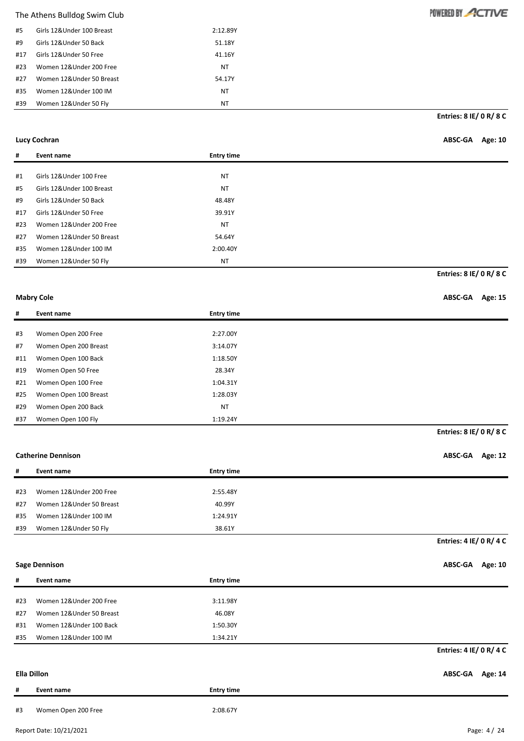| #5  | Girls 12&Under 100 Breast | 2:12.89Y |
|-----|---------------------------|----------|
| #9  | Girls 12&Under 50 Back    | 51.18Y   |
| #17 | Girls 12&Under 50 Free    | 41.16Y   |
| #23 | Women 12&Under 200 Free   | ΝT       |
| #27 | Women 12&Under 50 Breast  | 54.17Y   |
| #35 | Women 12&Under 100 IM     | ΝT       |
| #39 | Women 12&Under 50 Fly     | NΤ       |

**Entries: 8 IE/ 0 R/ 8 C**

POWERED BY ACTIVE

| Lucy Cochran                         |                    | ABSC-GA Age: 10 |  |
|--------------------------------------|--------------------|-----------------|--|
| <b>Property Services</b><br>$\cdots$ | The Association of |                 |  |

| #   | Event name                 | <b>Entry time</b> |                         |
|-----|----------------------------|-------------------|-------------------------|
|     |                            |                   |                         |
| #1  | Girls 12&Under 100 Free    | <b>NT</b>         |                         |
| #5  | Girls 12& Under 100 Breast | <b>NT</b>         |                         |
| #9  | Girls 12&Under 50 Back     | 48.48Y            |                         |
| #17 | Girls 12&Under 50 Free     | 39.91Y            |                         |
| #23 | Women 12&Under 200 Free    | <b>NT</b>         |                         |
| #27 | Women 12&Under 50 Breast   | 54.64Y            |                         |
| #35 | Women 12&Under 100 IM      | 2:00.40Y          |                         |
| #39 | Women 12&Under 50 Fly      | <b>NT</b>         |                         |
|     |                            |                   | Entries: 8 IE/ 0 R/ 8 C |

#### **Mabry Cole ABSC-GA** Age: 15

| #   | Event name            | <b>Entry time</b> |  |
|-----|-----------------------|-------------------|--|
|     |                       |                   |  |
| #3  | Women Open 200 Free   | 2:27.00Y          |  |
| #7  | Women Open 200 Breast | 3:14.07Y          |  |
| #11 | Women Open 100 Back   | 1:18.50Y          |  |
| #19 | Women Open 50 Free    | 28.34Y            |  |
| #21 | Women Open 100 Free   | 1:04.31Y          |  |
| #25 | Women Open 100 Breast | 1:28.03Y          |  |
| #29 | Women Open 200 Back   | <b>NT</b>         |  |
| #37 | Women Open 100 Fly    | 1:19.24Y          |  |

### **Catherine Dennison ABSC-GA Age: 12**

| #   | Event name               | <b>Entry time</b> |
|-----|--------------------------|-------------------|
|     |                          |                   |
| #23 | Women 12&Under 200 Free  | 2:55.48Y          |
| #27 | Women 12&Under 50 Breast | 40.99Y            |
| #35 | Women 12&Under 100 IM    | 1:24.91Y          |
| #39 | Women 12&Under 50 Fly    | 38.61Y            |

#### **Entries: 4 IE/ 0 R/ 4 C**

**Entries: 8 IE/ 0 R/ 8 C**

**Sage Dennison ABSC-GA Age: 10**

| #   | Event name               | <b>Entry time</b> |
|-----|--------------------------|-------------------|
| #23 | Women 12&Under 200 Free  | 3:11.98Y          |
| #27 | Women 12&Under 50 Breast | 46.08Y            |
| #31 | Women 12&Under 100 Back  | 1:50.30Y          |
| #35 | Women 12&Under 100 IM    | 1:34.21Y          |
|     |                          |                   |
|     |                          |                   |

# **Ella Dillon ABSC-GA Age: 14 # Event name Entry time**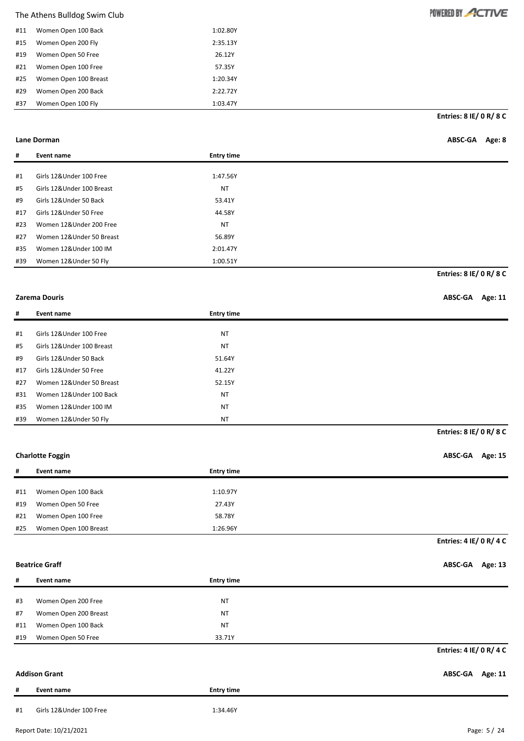| #11 | Women Open 100 Back   | 1:02.80Y |
|-----|-----------------------|----------|
| #15 | Women Open 200 Fly    | 2:35.13Y |
| #19 | Women Open 50 Free    | 26.12Y   |
| #21 | Women Open 100 Free   | 57.35Y   |
| #25 | Women Open 100 Breast | 1:20.34Y |
| #29 | Women Open 200 Back   | 2:22.72Y |
| #37 | Women Open 100 Fly    | 1:03.47Y |

**Entries: 8 IE/ 0 R/ 8 C**

| Lane Dorman | ABSC-GA | Age: 8 |
|-------------|---------|--------|
|             |         |        |

| #   | Event name                | <b>Entry time</b> |                                |
|-----|---------------------------|-------------------|--------------------------------|
|     |                           |                   |                                |
| #1  | Girls 12&Under 100 Free   | 1:47.56Y          |                                |
| #5  | Girls 12&Under 100 Breast | <b>NT</b>         |                                |
| #9  | Girls 12&Under 50 Back    | 53.41Y            |                                |
| #17 | Girls 12&Under 50 Free    | 44.58Y            |                                |
| #23 | Women 12&Under 200 Free   | <b>NT</b>         |                                |
| #27 | Women 12&Under 50 Breast  | 56.89Y            |                                |
| #35 | Women 12&Under 100 IM     | 2:01.47Y          |                                |
| #39 | Women 12&Under 50 Fly     | 1:00.51Y          |                                |
|     |                           |                   | <b>Entries: 8 IE/ 0 R/ 8 C</b> |

### **Zarema Douris ABSC-GA Age: 11**

| #   | Event name                 | <b>Entry time</b> |
|-----|----------------------------|-------------------|
|     |                            |                   |
| #1  | Girls 12&Under 100 Free    | NT                |
| #5  | Girls 12& Under 100 Breast | <b>NT</b>         |
| #9  | Girls 12&Under 50 Back     | 51.64Y            |
| #17 | Girls 12&Under 50 Free     | 41.22Y            |
| #27 | Women 12&Under 50 Breast   | 52.15Y            |
| #31 | Women 12&Under 100 Back    | <b>NT</b>         |
| #35 | Women 12&Under 100 IM      | <b>NT</b>         |
| #39 | Women 12&Under 50 Fly      | <b>NT</b>         |

### **Charlotte Foggin ABSC-GA Age: 15**

| #   | Event name            | <b>Entry time</b> |
|-----|-----------------------|-------------------|
|     |                       |                   |
| #11 | Women Open 100 Back   | 1:10.97Y          |
| #19 | Women Open 50 Free    | 27.43Y            |
| #21 | Women Open 100 Free   | 58.78Y            |
| #25 | Women Open 100 Breast | 1:26.96Y          |

**Entries: 4 IE/ 0 R/ 4 C**

**Entries: 8 IE/ 0 R/ 8 C**

**Beatrice Graff ABSC-GA Age: 13**

| #   | Event name            | <b>Entry time</b> |                         |
|-----|-----------------------|-------------------|-------------------------|
|     |                       |                   |                         |
| #3  | Women Open 200 Free   | <b>NT</b>         |                         |
| #7  | Women Open 200 Breast | <b>NT</b>         |                         |
| #11 | Women Open 100 Back   | <b>NT</b>         |                         |
| #19 | Women Open 50 Free    | 33.71Y            |                         |
|     |                       |                   | Entries: 4 IE/ 0 R/ 4 C |
|     |                       |                   |                         |

|    | <b>Addison Grant</b>    |                   | ABSC-GA Age: 11 |  |
|----|-------------------------|-------------------|-----------------|--|
| #  | Event name              | <b>Entry time</b> |                 |  |
| #1 | Girls 12&Under 100 Free | 1:34.46Y          |                 |  |

Report Date: 10/21/2021 Page: 5 / 24

# POWERED BY ACTIVE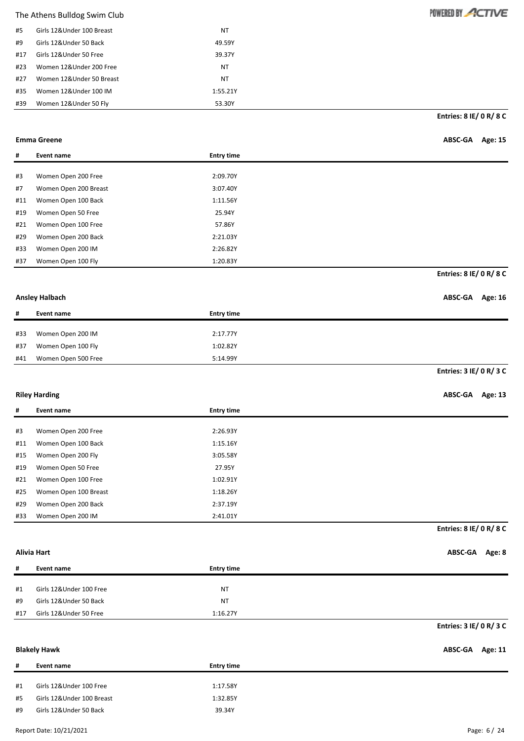| #5  | Girls 12&Under 100 Breast | ΝT       |
|-----|---------------------------|----------|
| #9  | Girls 12&Under 50 Back    | 49.59Y   |
| #17 | Girls 12&Under 50 Free    | 39.37Y   |
| #23 | Women 12&Under 200 Free   | ΝT       |
| #27 | Women 12&Under 50 Breast  | ΝT       |
| #35 | Women 12&Under 100 IM     | 1:55.21Y |
| #39 | Women 12&Under 50 Fly     | 53.30Y   |

**Entries: 8 IE/ 0 R/ 8 C**

| Emma Greene | ABSC-GA Age: 15 |  |
|-------------|-----------------|--|
|-------------|-----------------|--|

| #   | Event name            | <b>Entry time</b> |                         |
|-----|-----------------------|-------------------|-------------------------|
|     |                       |                   |                         |
| #3  | Women Open 200 Free   | 2:09.70Y          |                         |
| #7  | Women Open 200 Breast | 3:07.40Y          |                         |
| #11 | Women Open 100 Back   | 1:11.56Y          |                         |
| #19 | Women Open 50 Free    | 25.94Y            |                         |
| #21 | Women Open 100 Free   | 57.86Y            |                         |
| #29 | Women Open 200 Back   | 2:21.03Y          |                         |
| #33 | Women Open 200 IM     | 2:26.82Y          |                         |
| #37 | Women Open 100 Fly    | 1:20.83Y          |                         |
|     |                       |                   | Entries: 8 IE/ 0 R/ 8 C |

### **Ansley Halbach ABSC-GA Age: 16**

| #   | Event name          | <b>Entry time</b> |                         |
|-----|---------------------|-------------------|-------------------------|
|     |                     |                   |                         |
| #33 | Women Open 200 IM   | 2:17.77Y          |                         |
| #37 | Women Open 100 Fly  | 1:02.82Y          |                         |
| #41 | Women Open 500 Free | 5:14.99Y          |                         |
|     |                     |                   | Entries: 3 IE/ 0 R/ 3 C |

### **Riley Harding ABSC-GA Age: 13**

| #   | Event name            | <b>Entry time</b> |
|-----|-----------------------|-------------------|
|     |                       |                   |
| #3  | Women Open 200 Free   | 2:26.93Y          |
| #11 | Women Open 100 Back   | 1:15.16Y          |
| #15 | Women Open 200 Fly    | 3:05.58Y          |
| #19 | Women Open 50 Free    | 27.95Y            |
| #21 | Women Open 100 Free   | 1:02.91Y          |
| #25 | Women Open 100 Breast | 1:18.26Y          |
| #29 | Women Open 200 Back   | 2:37.19Y          |
| #33 | Women Open 200 IM     | 2:41.01Y          |

**Entries: 8 IE/ 0 R/ 8 C**

**Alivia Hart ABSC-GA Age: 8**

| #   | Event name              | <b>Entry time</b> |                         |
|-----|-------------------------|-------------------|-------------------------|
|     |                         |                   |                         |
| #1  | Girls 12&Under 100 Free | NT                |                         |
| #9  | Girls 12&Under 50 Back  | NT                |                         |
| #17 | Girls 12&Under 50 Free  | 1:16.27Y          |                         |
|     |                         |                   | Entries: 3 IE/ 0 R/ 3 C |

#### **Blakely Hawk ABSC-GA Age: 11**

| #  | Event name                | <b>Entry time</b> |
|----|---------------------------|-------------------|
|    |                           |                   |
| #1 | Girls 12&Under 100 Free   | 1:17.58Y          |
| #5 | Girls 12&Under 100 Breast | 1:32.85Y          |
| #9 | Girls 12&Under 50 Back    | 39.34Y            |
|    |                           |                   |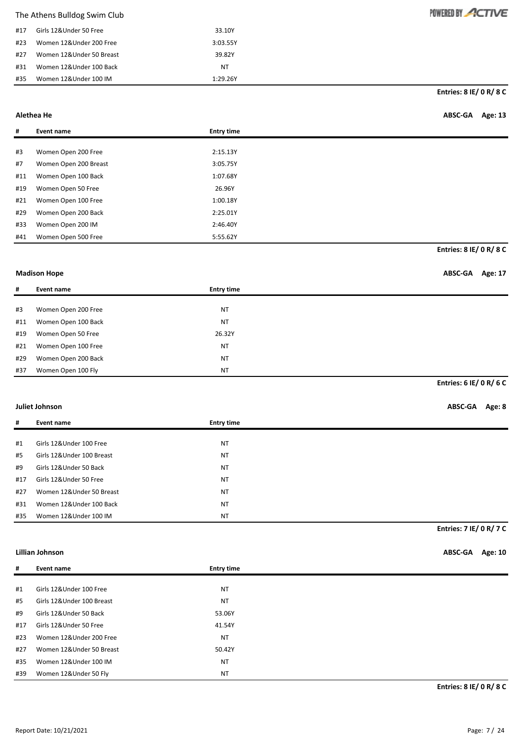| #17 | Girls 12&Under 50 Free   | 33.10Y   |
|-----|--------------------------|----------|
| #23 | Women 12&Under 200 Free  | 3:03.55Y |
| #27 | Women 12&Under 50 Breast | 39.82Y   |
| #31 | Women 12&Under 100 Back  | NT       |
| #35 | Women 12&Under 100 IM    | 1:29.26Y |

**Entries: 8 IE/ 0 R/ 8 C**

POWERED BY ACTIVE

### **Alethea He ABSC-GA Age: 13**

| #   | Event name            | <b>Entry time</b> |                                |
|-----|-----------------------|-------------------|--------------------------------|
|     |                       |                   |                                |
| #3  | Women Open 200 Free   | 2:15.13Y          |                                |
| #7  | Women Open 200 Breast | 3:05.75Y          |                                |
| #11 | Women Open 100 Back   | 1:07.68Y          |                                |
| #19 | Women Open 50 Free    | 26.96Y            |                                |
| #21 | Women Open 100 Free   | 1:00.18Y          |                                |
| #29 | Women Open 200 Back   | 2:25.01Y          |                                |
| #33 | Women Open 200 IM     | 2:46.40Y          |                                |
| #41 | Women Open 500 Free   | 5:55.62Y          |                                |
|     |                       |                   | <b>Entries: 8 IE/ 0 R/ 8 C</b> |

#### **Madison Hope**

|  | <b>ABSC-GA</b> | Age: 17 |
|--|----------------|---------|
|--|----------------|---------|

| #   | Event name          | <b>Entry time</b> |
|-----|---------------------|-------------------|
|     |                     |                   |
| #3  | Women Open 200 Free | <b>NT</b>         |
| #11 | Women Open 100 Back | <b>NT</b>         |
| #19 | Women Open 50 Free  | 26.32Y            |
| #21 | Women Open 100 Free | <b>NT</b>         |
| #29 | Women Open 200 Back | <b>NT</b>         |
| #37 | Women Open 100 Fly  | <b>NT</b>         |

### **Entries: 6 IE/ 0 R/ 6 C**

### **Juliet Johnson ABSC-GA Age: 8**

| #   | Event name                 | <b>Entry time</b> |                         |
|-----|----------------------------|-------------------|-------------------------|
|     |                            |                   |                         |
| #1  | Girls 12&Under 100 Free    | <b>NT</b>         |                         |
| #5  | Girls 12& Under 100 Breast | <b>NT</b>         |                         |
| #9  | Girls 12&Under 50 Back     | <b>NT</b>         |                         |
| #17 | Girls 12&Under 50 Free     | <b>NT</b>         |                         |
| #27 | Women 12&Under 50 Breast   | <b>NT</b>         |                         |
| #31 | Women 12&Under 100 Back    | <b>NT</b>         |                         |
| #35 | Women 12&Under 100 IM      | <b>NT</b>         |                         |
|     |                            |                   | Entries: 7 IE/ 0 R/ 7 C |

#### **Lillian Johnson ABSC-GA Age: 10**

| #   | Event name                | <b>Entry time</b> |
|-----|---------------------------|-------------------|
|     |                           |                   |
| #1  | Girls 12&Under 100 Free   | <b>NT</b>         |
| #5  | Girls 12&Under 100 Breast | <b>NT</b>         |
| #9  | Girls 12&Under 50 Back    | 53.06Y            |
| #17 | Girls 12&Under 50 Free    | 41.54Y            |
| #23 | Women 12&Under 200 Free   | <b>NT</b>         |
| #27 | Women 12&Under 50 Breast  | 50.42Y            |
| #35 | Women 12&Under 100 IM     | <b>NT</b>         |
| #39 | Women 12&Under 50 Fly     | <b>NT</b>         |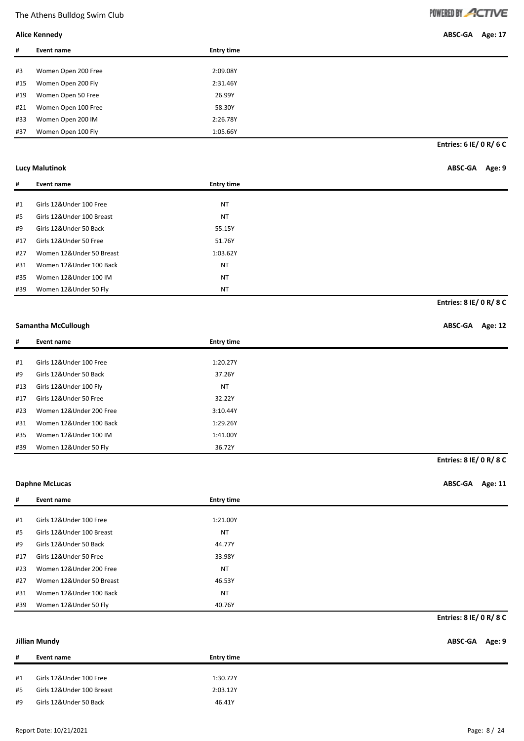**Alice Kennedy ABSC-GA Age: 17**

| #   | Event name          | <b>Entry time</b> |              |
|-----|---------------------|-------------------|--------------|
|     |                     |                   |              |
| #3  | Women Open 200 Free | 2:09.08Y          |              |
| #15 | Women Open 200 Fly  | 2:31.46Y          |              |
| #19 | Women Open 50 Free  | 26.99Y            |              |
| #21 | Women Open 100 Free | 58.30Y            |              |
| #33 | Women Open 200 IM   | 2:26.78Y          |              |
| #37 | Women Open 100 Fly  | 1:05.66Y          |              |
|     |                     |                   | $         -$ |

**Entries: 6 IE/ 0 R/ 6 C**

### **Lucy Malutinok ABSC-GA Age: 9**

**Entries: 8 IE/ 0 R/ 8 C**

**Entries: 8 IE/ 0 R/ 8 C**

| #   | Event name                | <b>Entry time</b> |
|-----|---------------------------|-------------------|
|     |                           |                   |
| #1  | Girls 12&Under 100 Free   | <b>NT</b>         |
| #5  | Girls 12&Under 100 Breast | <b>NT</b>         |
| #9  | Girls 12&Under 50 Back    | 55.15Y            |
| #17 | Girls 12&Under 50 Free    | 51.76Y            |
| #27 | Women 12&Under 50 Breast  | 1:03.62Y          |
| #31 | Women 12&Under 100 Back   | <b>NT</b>         |
| #35 | Women 12&Under 100 IM     | <b>NT</b>         |
| #39 | Women 12&Under 50 Fly     | <b>NT</b>         |

#### **Samantha McCullough ABSC-GA Age: 12**

| #   | Event name              | <b>Entry time</b> |  |
|-----|-------------------------|-------------------|--|
|     |                         |                   |  |
| #1  | Girls 12&Under 100 Free | 1:20.27Y          |  |
| #9  | Girls 12&Under 50 Back  | 37.26Y            |  |
| #13 | Girls 12&Under 100 Fly  | <b>NT</b>         |  |
| #17 | Girls 12&Under 50 Free  | 32.22Y            |  |
| #23 | Women 12&Under 200 Free | 3:10.44Y          |  |
| #31 | Women 12&Under 100 Back | 1:29.26Y          |  |
| #35 | Women 12&Under 100 IM   | 1:41.00Y          |  |
| #39 | Women 12&Under 50 Fly   | 36.72Y            |  |

#### **Daphne McLucas ABSC-GA Age: 11**

| #   | Event name                | <b>Entry time</b> |
|-----|---------------------------|-------------------|
|     |                           |                   |
| #1  | Girls 12&Under 100 Free   | 1:21.00Y          |
| #5  | Girls 12&Under 100 Breast | <b>NT</b>         |
| #9  | Girls 12&Under 50 Back    | 44.77Y            |
| #17 | Girls 12&Under 50 Free    | 33.98Y            |
| #23 | Women 12&Under 200 Free   | <b>NT</b>         |
| #27 | Women 12&Under 50 Breast  | 46.53Y            |
| #31 | Women 12&Under 100 Back   | <b>NT</b>         |
| #39 | Women 12&Under 50 Fly     | 40.76Y            |

**Entries: 8 IE/ 0 R/ 8 C**

**Jillian Mundy ABSC-GA Age: 9**

| #1<br>Girls 12&Under 100 Free<br>1:30.72Y<br>#5<br>Girls 12&Under 100 Breast<br>2:03.12Y<br>Girls 12&Under 50 Back<br>46.41Y | #  | Event name | <b>Entry time</b> |
|------------------------------------------------------------------------------------------------------------------------------|----|------------|-------------------|
|                                                                                                                              |    |            |                   |
|                                                                                                                              |    |            |                   |
|                                                                                                                              | #9 |            |                   |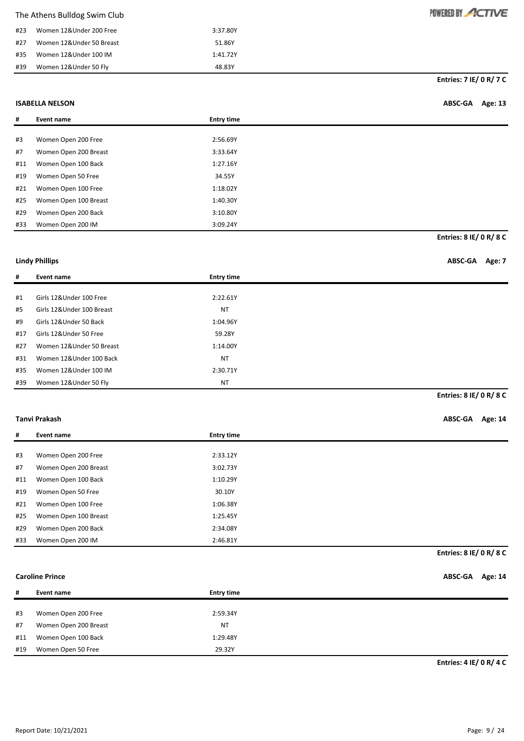| The Athens Bulldog Swim Club |  |  |  |
|------------------------------|--|--|--|
|------------------------------|--|--|--|

| #23 | Women 12&Under 200 Free  | 3:37.80Y |
|-----|--------------------------|----------|
| #27 | Women 12&Under 50 Breast | 51.86Y   |
| #35 | Women 12&Under 100 IM    | 1:41.72Y |
| #39 | Women 12&Under 50 Fly    | 48.83Y   |

**Entries: 7 IE/ 0 R/ 7 C**

POWERED BY ACTIVE

#### **ISABELLA NELSON ABSC-GA Age: 13**

| #   | Event name            | <b>Entry time</b> |
|-----|-----------------------|-------------------|
|     |                       |                   |
| #3  | Women Open 200 Free   | 2:56.69Y          |
| #7  | Women Open 200 Breast | 3:33.64Y          |
| #11 | Women Open 100 Back   | 1:27.16Y          |
| #19 | Women Open 50 Free    | 34.55Y            |
| #21 | Women Open 100 Free   | 1:18.02Y          |
| #25 | Women Open 100 Breast | 1:40.30Y          |
| #29 | Women Open 200 Back   | 3:10.80Y          |
| #33 | Women Open 200 IM     | 3:09.24Y          |
|     |                       |                   |

**Entries: 8 IE/ 0 R/ 8 C**

#### **Lindy Phillips ABSC-GA Age: 7**

| #   | Event name                 | <b>Entry time</b> |                         |
|-----|----------------------------|-------------------|-------------------------|
|     |                            |                   |                         |
| #1  | Girls 12&Under 100 Free    | 2:22.61Y          |                         |
| #5  | Girls 12& Under 100 Breast | <b>NT</b>         |                         |
| #9  | Girls 12&Under 50 Back     | 1:04.96Y          |                         |
| #17 | Girls 12&Under 50 Free     | 59.28Y            |                         |
| #27 | Women 12&Under 50 Breast   | 1:14.00Y          |                         |
| #31 | Women 12&Under 100 Back    | <b>NT</b>         |                         |
| #35 | Women 12&Under 100 IM      | 2:30.71Y          |                         |
| #39 | Women 12&Under 50 Fly      | <b>NT</b>         |                         |
|     |                            |                   | Entries: 8 IE/ 0 R/ 8 C |

### **Tanvi Prakash ABSC-GA Age: 14**

| #   | Event name            | <b>Entry time</b> |
|-----|-----------------------|-------------------|
|     |                       |                   |
| #3  | Women Open 200 Free   | 2:33.12Y          |
| #7  | Women Open 200 Breast | 3:02.73Y          |
| #11 | Women Open 100 Back   | 1:10.29Y          |
| #19 | Women Open 50 Free    | 30.10Y            |
| #21 | Women Open 100 Free   | 1:06.38Y          |
| #25 | Women Open 100 Breast | 1:25.45Y          |
| #29 | Women Open 200 Back   | 2:34.08Y          |
| #33 | Women Open 200 IM     | 2:46.81Y          |

**Entries: 8 IE/ 0 R/ 8 C**

### **Caroline Prince ABSC-GA Age: 14**

| #   | Event name            | <b>Entry time</b> |
|-----|-----------------------|-------------------|
|     |                       |                   |
| #3  | Women Open 200 Free   | 2:59.34Y          |
| #7  | Women Open 200 Breast | <b>NT</b>         |
| #11 | Women Open 100 Back   | 1:29.48Y          |
| #19 | Women Open 50 Free    | 29.32Y            |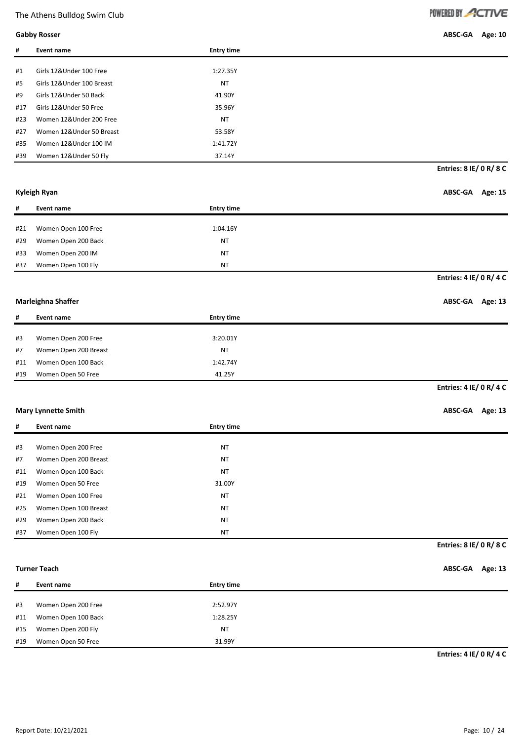**Gabby Rosser ABSC-GA Age: 10**

| #   | Event name                 | <b>Entry time</b> |
|-----|----------------------------|-------------------|
|     |                            |                   |
| #1  | Girls 12&Under 100 Free    | 1:27.35Y          |
| #5  | Girls 12& Under 100 Breast | <b>NT</b>         |
| #9  | Girls 12&Under 50 Back     | 41.90Y            |
| #17 | Girls 12&Under 50 Free     | 35.96Y            |
| #23 | Women 12&Under 200 Free    | <b>NT</b>         |
| #27 | Women 12&Under 50 Breast   | 53.58Y            |
| #35 | Women 12&Under 100 IM      | 1:41.72Y          |
| #39 | Women 12&Under 50 Fly      | 37.14Y            |

#### **Kyleigh Ryan ABSC-GA Age: 15**

**Entries: 8 IE/ 0 R/ 8 C**

| #   | Event name          | <b>Entry time</b> |                         |
|-----|---------------------|-------------------|-------------------------|
|     |                     |                   |                         |
| #21 | Women Open 100 Free | 1:04.16Y          |                         |
| #29 | Women Open 200 Back | <b>NT</b>         |                         |
| #33 | Women Open 200 IM   | <b>NT</b>         |                         |
| #37 | Women Open 100 Fly  | <b>NT</b>         |                         |
|     |                     |                   | Entries: 4 IE/ 0 R/ 4 C |

#### **Marleighna Shaffer ABSC-GA** Age: 13

| #   | Event name            | <b>Entry time</b> |
|-----|-----------------------|-------------------|
|     |                       |                   |
| #3  | Women Open 200 Free   | 3:20.01Y          |
| #7  | Women Open 200 Breast | <b>NT</b>         |
| #11 | Women Open 100 Back   | 1:42.74Y          |
| #19 | Women Open 50 Free    | 41.25Y            |

**Entries: 4 IE/ 0 R/ 4 C**

### **Mary Lynnette Smith ABSC-GA Age: 13**

| #   | Event name            | <b>Entry time</b> |
|-----|-----------------------|-------------------|
|     |                       |                   |
| #3  | Women Open 200 Free   | <b>NT</b>         |
| #7  | Women Open 200 Breast | <b>NT</b>         |
| #11 | Women Open 100 Back   | <b>NT</b>         |
| #19 | Women Open 50 Free    | 31.00Y            |
| #21 | Women Open 100 Free   | <b>NT</b>         |
| #25 | Women Open 100 Breast | <b>NT</b>         |
| #29 | Women Open 200 Back   | <b>NT</b>         |
| #37 | Women Open 100 Fly    | <b>NT</b>         |

**Entries: 8 IE/ 0 R/ 8 C**

#### **Turner Teach ABSC-GA Age: 13**

| #   | Event name          | <b>Entry time</b> |
|-----|---------------------|-------------------|
|     |                     |                   |
| #3  | Women Open 200 Free | 2:52.97Y          |
| #11 | Women Open 100 Back | 1:28.25Y          |
| #15 | Women Open 200 Fly  | <b>NT</b>         |
| #19 | Women Open 50 Free  | 31.99Y            |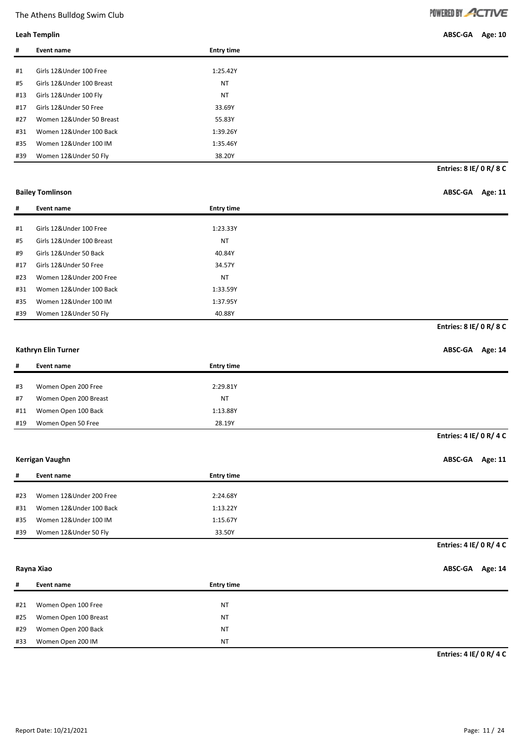**Leah Templin ABSC-GA Age: 10**

| #   | Event name                 | <b>Entry time</b> |
|-----|----------------------------|-------------------|
|     |                            |                   |
| #1  | Girls 12&Under 100 Free    | 1:25.42Y          |
| #5  | Girls 12& Under 100 Breast | <b>NT</b>         |
| #13 | Girls 12&Under 100 Fly     | <b>NT</b>         |
| #17 | Girls 12&Under 50 Free     | 33.69Y            |
| #27 | Women 12&Under 50 Breast   | 55.83Y            |
| #31 | Women 12&Under 100 Back    | 1:39.26Y          |
| #35 | Women 12&Under 100 IM      | 1:35.46Y          |
| #39 | Women 12&Under 50 Fly      | 38.20Y            |

**Entries: 8 IE/ 0 R/ 8 C**

**Bailey Tomlinson ABSC-GA Age: 11**

| #   | Event name                | <b>Entry time</b> |
|-----|---------------------------|-------------------|
|     |                           |                   |
| #1  | Girls 12&Under 100 Free   | 1:23.33Y          |
| #5  | Girls 12&Under 100 Breast | <b>NT</b>         |
| #9  | Girls 12&Under 50 Back    | 40.84Y            |
| #17 | Girls 12&Under 50 Free    | 34.57Y            |
| #23 | Women 12&Under 200 Free   | <b>NT</b>         |
| #31 | Women 12&Under 100 Back   | 1:33.59Y          |
| #35 | Women 12&Under 100 IM     | 1:37.95Y          |
| #39 | Women 12&Under 50 Fly     | 40.88Y            |

**Entries: 8 IE/ 0 R/ 8 C**

#### **Kathryn Elin Turner ABSC-GA Age: 14**

| #   | Event name            | <b>Entry time</b> |                         |
|-----|-----------------------|-------------------|-------------------------|
|     |                       |                   |                         |
| #3  | Women Open 200 Free   | 2:29.81Y          |                         |
| #7  | Women Open 200 Breast | <b>NT</b>         |                         |
| #11 | Women Open 100 Back   | 1:13.88Y          |                         |
| #19 | Women Open 50 Free    | 28.19Y            |                         |
|     |                       |                   | Entries: 4 IE/ 0 R/ 4 C |

#### **Kerrigan Vaughn ABSC-GA Age: 11**

| #   | Event name              | <b>Entry time</b> |
|-----|-------------------------|-------------------|
|     |                         |                   |
| #23 | Women 12&Under 200 Free | 2:24.68Y          |
| #31 | Women 12&Under 100 Back | 1:13.22Y          |
| #35 | Women 12&Under 100 IM   | 1:15.67Y          |
| #39 | Women 12&Under 50 Fly   | 33.50Y            |

### **Entries: 4 IE/ 0 R/ 4 C**

**Rayna Xiao ABSC-GA Age: 14**

| #   | Event name            | <b>Entry time</b> |
|-----|-----------------------|-------------------|
|     |                       |                   |
| #21 | Women Open 100 Free   | <b>NT</b>         |
| #25 | Women Open 100 Breast | <b>NT</b>         |
| #29 | Women Open 200 Back   | <b>NT</b>         |
| #33 | Women Open 200 IM     | <b>NT</b>         |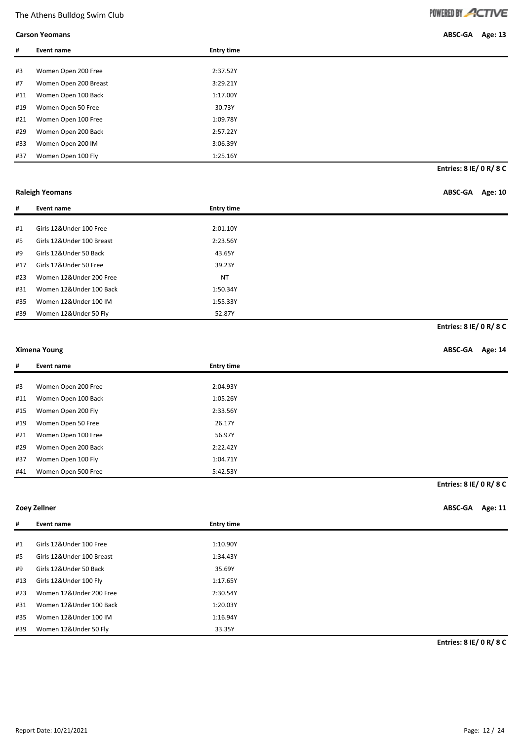**Carson Yeomans ABSC-GA Age: 13**

| #   | Event name            | <b>Entry time</b> |
|-----|-----------------------|-------------------|
|     |                       |                   |
| #3  | Women Open 200 Free   | 2:37.52Y          |
| #7  | Women Open 200 Breast | 3:29.21Y          |
| #11 | Women Open 100 Back   | 1:17.00Y          |
| #19 | Women Open 50 Free    | 30.73Y            |
| #21 | Women Open 100 Free   | 1:09.78Y          |
| #29 | Women Open 200 Back   | 2:57.22Y          |
| #33 | Women Open 200 IM     | 3:06.39Y          |
| #37 | Women Open 100 Fly    | 1:25.16Y          |

**Entries: 8 IE/ 0 R/ 8 C**

**Raleigh Yeomans ABSC-GA Age: 10**

**Entries: 8 IE/ 0 R/ 8 C**

| #   | Event name                | <b>Entry time</b> |
|-----|---------------------------|-------------------|
|     |                           |                   |
| #1  | Girls 12&Under 100 Free   | 2:01.10Y          |
| #5  | Girls 12&Under 100 Breast | 2:23.56Y          |
| #9  | Girls 12&Under 50 Back    | 43.65Y            |
| #17 | Girls 12&Under 50 Free    | 39.23Y            |
| #23 | Women 12&Under 200 Free   | <b>NT</b>         |
| #31 | Women 12&Under 100 Back   | 1:50.34Y          |
| #35 | Women 12&Under 100 IM     | 1:55.33Y          |
| #39 | Women 12&Under 50 Fly     | 52.87Y            |

#### **Ximena Young ABSC-GA Age: 14**

| #<br><b>Entry time</b><br>Event name<br>#3<br>Women Open 200 Free<br>2:04.93Y<br>#11<br>Women Open 100 Back<br>1:05.26Y<br>#15<br>Women Open 200 Fly<br>2:33.56Y<br>#19<br>Women Open 50 Free<br>26.17Y<br>#21<br>Women Open 100 Free<br>56.97Y<br>#29<br>Women Open 200 Back<br>2:22.42Y<br>#37<br>Women Open 100 Fly<br>1:04.71Y<br>#41<br>Women Open 500 Free<br>5:42.53Y |                         |
|------------------------------------------------------------------------------------------------------------------------------------------------------------------------------------------------------------------------------------------------------------------------------------------------------------------------------------------------------------------------------|-------------------------|
|                                                                                                                                                                                                                                                                                                                                                                              |                         |
|                                                                                                                                                                                                                                                                                                                                                                              |                         |
|                                                                                                                                                                                                                                                                                                                                                                              |                         |
|                                                                                                                                                                                                                                                                                                                                                                              |                         |
|                                                                                                                                                                                                                                                                                                                                                                              |                         |
|                                                                                                                                                                                                                                                                                                                                                                              |                         |
|                                                                                                                                                                                                                                                                                                                                                                              |                         |
|                                                                                                                                                                                                                                                                                                                                                                              |                         |
|                                                                                                                                                                                                                                                                                                                                                                              |                         |
|                                                                                                                                                                                                                                                                                                                                                                              |                         |
|                                                                                                                                                                                                                                                                                                                                                                              | Entries: 8 IE/ 0 R/ 8 C |

| Zoey Zellner | ABSC-GA Age: 11 |  |
|--------------|-----------------|--|
|--------------|-----------------|--|

| #   | Event name                | <b>Entry time</b> |
|-----|---------------------------|-------------------|
|     |                           |                   |
| #1  | Girls 12&Under 100 Free   | 1:10.90Y          |
| #5  | Girls 12&Under 100 Breast | 1:34.43Y          |
| #9  | Girls 12&Under 50 Back    | 35.69Y            |
| #13 | Girls 12&Under 100 Fly    | 1:17.65Y          |
| #23 | Women 12&Under 200 Free   | 2:30.54Y          |
| #31 | Women 12&Under 100 Back   | 1:20.03Y          |
| #35 | Women 12&Under 100 IM     | 1:16.94Y          |
| #39 | Women 12&Under 50 Fly     | 33.35Y            |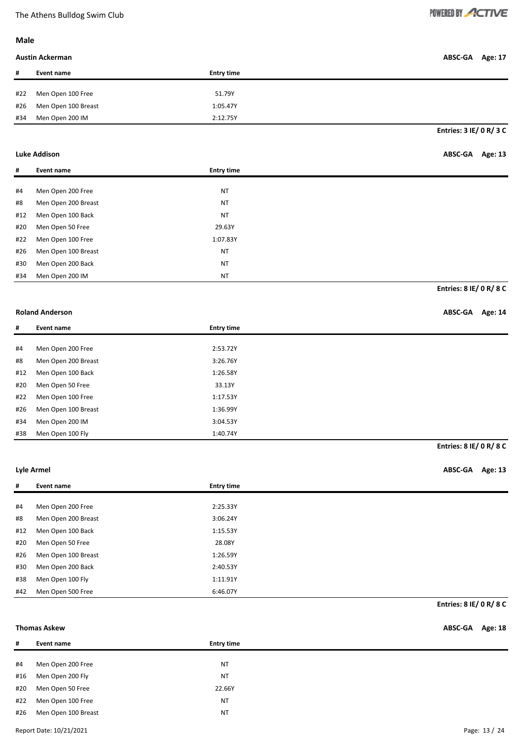#### **Male**

### **Austin Ackerman ABSC-GA Age: 17**

| #   | Event name          | <b>Entry time</b> |
|-----|---------------------|-------------------|
|     |                     |                   |
| #22 | Men Open 100 Free   | 51.79Y            |
| #26 | Men Open 100 Breast | 1:05.47Y          |
| #34 | Men Open 200 IM     | 2:12.75Y          |

**Entries: 3 IE/ 0 R/ 3 C**

### **Luke Addison ABSC-GA Age: 13**

| #   | Event name          | <b>Entry time</b> |                         |
|-----|---------------------|-------------------|-------------------------|
|     |                     |                   |                         |
| #4  | Men Open 200 Free   | <b>NT</b>         |                         |
| #8  | Men Open 200 Breast | <b>NT</b>         |                         |
| #12 | Men Open 100 Back   | <b>NT</b>         |                         |
| #20 | Men Open 50 Free    | 29.63Y            |                         |
| #22 | Men Open 100 Free   | 1:07.83Y          |                         |
| #26 | Men Open 100 Breast | <b>NT</b>         |                         |
| #30 | Men Open 200 Back   | <b>NT</b>         |                         |
| #34 | Men Open 200 IM     | <b>NT</b>         |                         |
|     |                     |                   | Entries: 8 IE/ 0 R/ 8 C |

### **Roland Anderson ABSC-GA Age: 14**

| #   | Event name          | <b>Entry time</b> |
|-----|---------------------|-------------------|
|     |                     |                   |
| #4  | Men Open 200 Free   | 2:53.72Y          |
| #8  | Men Open 200 Breast | 3:26.76Y          |
| #12 | Men Open 100 Back   | 1:26.58Y          |
| #20 | Men Open 50 Free    | 33.13Y            |
| #22 | Men Open 100 Free   | 1:17.53Y          |
| #26 | Men Open 100 Breast | 1:36.99Y          |
| #34 | Men Open 200 IM     | 3:04.53Y          |
| #38 | Men Open 100 Fly    | 1:40.74Y          |

**Entries: 8 IE/ 0 R/ 8 C**

**Lyle Armel ABSC-GA Age: 13**

| #   | Event name          | <b>Entry time</b> |                                |
|-----|---------------------|-------------------|--------------------------------|
|     |                     |                   |                                |
| #4  | Men Open 200 Free   | 2:25.33Y          |                                |
| #8  | Men Open 200 Breast | 3:06.24Y          |                                |
| #12 | Men Open 100 Back   | 1:15.53Y          |                                |
| #20 | Men Open 50 Free    | 28.08Y            |                                |
| #26 | Men Open 100 Breast | 1:26.59Y          |                                |
| #30 | Men Open 200 Back   | 2:40.53Y          |                                |
| #38 | Men Open 100 Fly    | 1:11.91Y          |                                |
| #42 | Men Open 500 Free   | 6:46.07Y          |                                |
|     |                     |                   | <b>Entries: 8 IE/ 0 R/ 8 C</b> |

#### **Thomas Askew ABSC-GA Age: 18**

| #   | Event name          | <b>Entry time</b> |
|-----|---------------------|-------------------|
|     |                     |                   |
| #4  | Men Open 200 Free   | <b>NT</b>         |
| #16 | Men Open 200 Fly    | <b>NT</b>         |
| #20 | Men Open 50 Free    | 22.66Y            |
| #22 | Men Open 100 Free   | <b>NT</b>         |
| #26 | Men Open 100 Breast | <b>NT</b>         |
|     |                     |                   |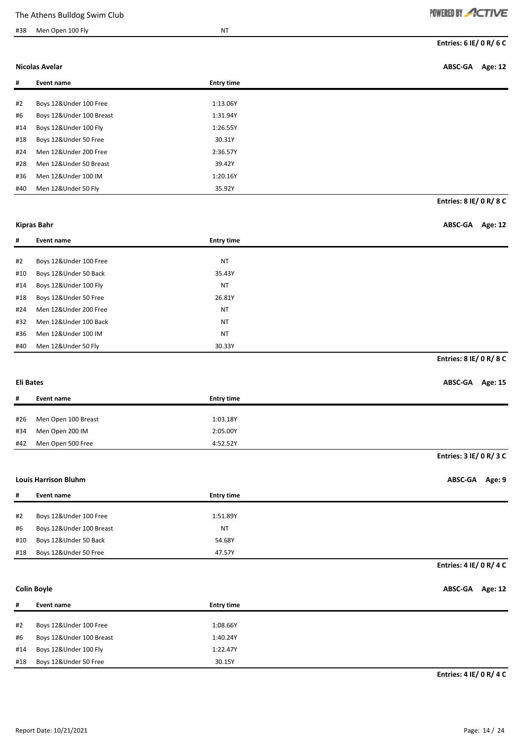### #38 Men Open 100 Fly NT

| POWERED BY ACTIVE |  |
|-------------------|--|
|-------------------|--|

**Entries: 6 IE/ 0 R/ 6 C**

**Nicolas Avelar ABSC-GA Age: 12**

**Entries: 8 IE/ 0 R/ 8 C**

| #   | Event name               | <b>Entry time</b> |
|-----|--------------------------|-------------------|
|     |                          |                   |
| #2  | Boys 12&Under 100 Free   | 1:13.06Y          |
| #6  | Boys 12&Under 100 Breast | 1:31.94Y          |
| #14 | Boys 12&Under 100 Fly    | 1:26.55Y          |
| #18 | Boys 12&Under 50 Free    | 30.31Y            |
| #24 | Men 12&Under 200 Free    | 2:36.57Y          |
| #28 | Men 12&Under 50 Breast   | 39.42Y            |
| #36 | Men 12&Under 100 IM      | 1:20.16Y          |
| #40 | Men 12&Under 50 Fly      | 35.92Y            |

**# Event name Entry time**

# **Kipras Bahr ABSC-GA Age: 12**

| #2  | Boys 12&Under 100 Free | <b>NT</b> |
|-----|------------------------|-----------|
| #10 | Boys 12&Under 50 Back  | 35.43Y    |
| #14 | Boys 12&Under 100 Fly  | <b>NT</b> |
| #18 | Boys 12&Under 50 Free  | 26.81Y    |
| #24 | Men 12&Under 200 Free  | <b>NT</b> |
| #32 | Men 12&Under 100 Back  | <b>NT</b> |
| #36 | Men 12&Under 100 IM    | <b>NT</b> |
| #40 | Men 12&Under 50 Fly    | 30.33Y    |

#### **Entries: 8 IE/ 0 R/ 8 C**

**Eli Bates ABSC-GA Age: 15**

| #   | Event name          | <b>Entry time</b> |                         |
|-----|---------------------|-------------------|-------------------------|
|     |                     |                   |                         |
| #26 | Men Open 100 Breast | 1:03.18Y          |                         |
| #34 | Men Open 200 IM     | 2:05.00Y          |                         |
| #42 | Men Open 500 Free   | 4:52.52Y          |                         |
|     |                     |                   | Entries: 3 IE/ 0 R/ 3 C |

#### **Louis Harrison Bluhm ABSC-GA Age: 9**

| #   | Event name               | <b>Entry time</b> |
|-----|--------------------------|-------------------|
|     |                          |                   |
| #2  | Boys 12&Under 100 Free   | 1:51.89Y          |
| #6  | Boys 12&Under 100 Breast | NT                |
| #10 | Boys 12&Under 50 Back    | 54.68Y            |
| #18 | Boys 12&Under 50 Free    | 47.57Y            |

#### **Entries: 4 IE/ 0 R/ 4 C**

#### **Colin Boyle ABSC-GA Age: 12**

| #   | Event name               | <b>Entry time</b> |
|-----|--------------------------|-------------------|
|     |                          |                   |
| #2  | Boys 12&Under 100 Free   | 1:08.66Y          |
| #6  | Boys 12&Under 100 Breast | 1:40.24Y          |
| #14 | Boys 12&Under 100 Fly    | 1:22.47Y          |
| #18 | Boys 12&Under 50 Free    | 30.15Y            |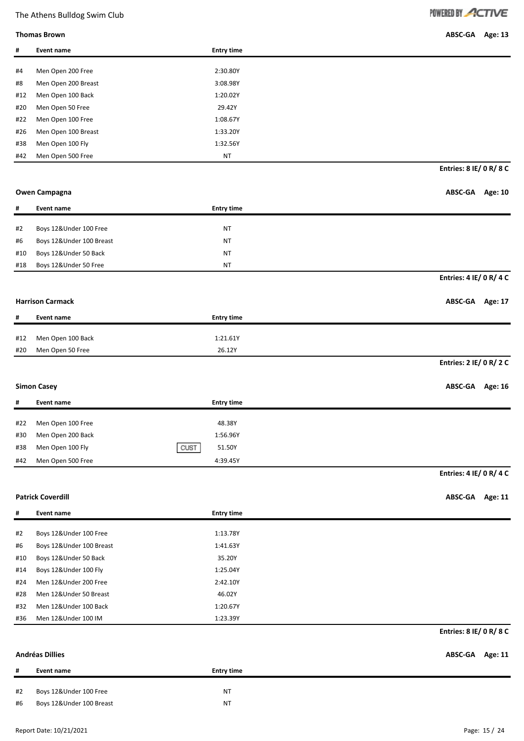**Thomas Brown ABSC-GA Age: 13**

| #        | <b>Event name</b>                                  | <b>Entry time</b> |                           |
|----------|----------------------------------------------------|-------------------|---------------------------|
| #4       | Men Open 200 Free                                  | 2:30.80Y          |                           |
| #8       | Men Open 200 Breast                                | 3:08.98Y          |                           |
| #12      | Men Open 100 Back                                  | 1:20.02Y          |                           |
| #20      | Men Open 50 Free                                   | 29.42Y            |                           |
| #22      | Men Open 100 Free                                  | 1:08.67Y          |                           |
| #26      | Men Open 100 Breast                                | 1:33.20Y          |                           |
| #38      | Men Open 100 Fly                                   | 1:32.56Y          |                           |
| #42      | Men Open 500 Free                                  | NT                |                           |
|          |                                                    |                   | Entries: 8 IE/ 0 R/ 8 C   |
|          |                                                    |                   |                           |
|          | Owen Campagna                                      |                   | ABSC-GA Age: 10           |
| #        | <b>Event name</b>                                  | <b>Entry time</b> |                           |
| #2       | Boys 12&Under 100 Free                             | NT                |                           |
| #6       | Boys 12&Under 100 Breast                           | NT                |                           |
| #10      | Boys 12&Under 50 Back                              | <b>NT</b>         |                           |
| #18      | Boys 12&Under 50 Free                              | <b>NT</b>         |                           |
|          |                                                    |                   | Entries: 4 IE/ 0 R/ 4 C   |
|          |                                                    |                   |                           |
|          | <b>Harrison Carmack</b>                            |                   | ABSC-GA Age: 17           |
| #        | Event name                                         | <b>Entry time</b> |                           |
| #12      | Men Open 100 Back                                  | 1:21.61Y          |                           |
| #20      | Men Open 50 Free                                   | 26.12Y            |                           |
|          |                                                    |                   | Entries: 2 IE/ 0 R/ 2 C   |
|          | <b>Simon Casey</b>                                 |                   | <b>ABSC-GA</b><br>Age: 16 |
|          |                                                    |                   |                           |
| #        | Event name                                         | <b>Entry time</b> |                           |
| #22      | Men Open 100 Free                                  | 48.38Y            |                           |
| #30      | Men Open 200 Back                                  | 1:56.96Y          |                           |
| #38      | Men Open 100 Fly                                   | 51.50Y<br>CUST    |                           |
| #42      | Men Open 500 Free                                  | 4:39.45Y          |                           |
|          |                                                    |                   | Entries: 4 IE/ 0 R/ 4 C   |
|          | <b>Patrick Coverdill</b>                           |                   | ABSC-GA Age: 11           |
| #        | Event name                                         | <b>Entry time</b> |                           |
|          |                                                    |                   |                           |
| #2       | Boys 12&Under 100 Free                             | 1:13.78Y          |                           |
| #6       | Boys 12&Under 100 Breast                           | 1:41.63Y          |                           |
| #10      | Boys 12&Under 50 Back                              | 35.20Y            |                           |
| #14      | Boys 12&Under 100 Fly                              | 1:25.04Y          |                           |
| #24      | Men 12&Under 200 Free                              | 2:42.10Y          |                           |
| #28      | Men 12&Under 50 Breast                             | 46.02Y            |                           |
| #32      | Men 12&Under 100 Back                              | 1:20.67Y          |                           |
| #36      | Men 12&Under 100 IM                                | 1:23.39Y          | Entries: 8 IE/ 0 R/ 8 C   |
|          |                                                    |                   |                           |
|          | <b>Andréas Dillies</b>                             |                   | Age: 11<br><b>ABSC-GA</b> |
| #        | Event name                                         | <b>Entry time</b> |                           |
|          |                                                    |                   |                           |
| #2<br>#6 | Boys 12&Under 100 Free<br>Boys 12&Under 100 Breast | <b>NT</b><br>NT   |                           |
|          |                                                    |                   |                           |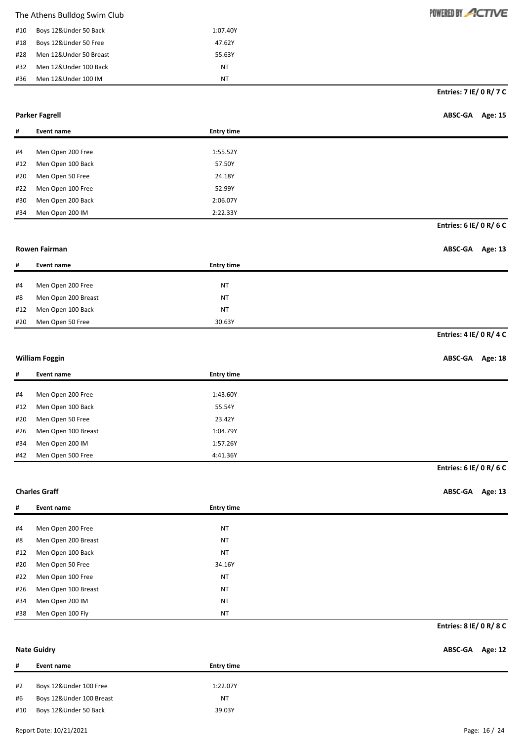| #10 | Boys 12&Under 50 Back  | 1:07.40Y |
|-----|------------------------|----------|
| #18 | Boys 12&Under 50 Free  | 47.62Y   |
| #28 | Men 12&Under 50 Breast | 55.63Y   |
| #32 | Men 12&Under 100 Back  | ΝT       |
| #36 | Men 12&Under 100 IM    | NΤ       |

#### **Parker Fagrell ABSC-GA Age: 15**

| #   | Event name        | <b>Entry time</b> |
|-----|-------------------|-------------------|
|     |                   |                   |
| #4  | Men Open 200 Free | 1:55.52Y          |
| #12 | Men Open 100 Back | 57.50Y            |
| #20 | Men Open 50 Free  | 24.18Y            |
| #22 | Men Open 100 Free | 52.99Y            |
| #30 | Men Open 200 Back | 2:06.07Y          |
| #34 | Men Open 200 IM   | 2:22.33Y          |

**Entries: 6 IE/ 0 R/ 6 C**

#### **Rowen Fairman ABSC-GA Age: 13**

# **# Event name Entry time** #4 Men Open 200 Free NT #8 Men Open 200 Breast NT #12 Men Open 100 Back NT #20 Men Open 50 Free 30.63Y

### **Entries: 4 IE/ 0 R/ 4 C**

### **William Foggin ABSC-GA Age: 18**

| #   | Event name          | <b>Entry time</b> |
|-----|---------------------|-------------------|
|     |                     |                   |
| #4  | Men Open 200 Free   | 1:43.60Y          |
| #12 | Men Open 100 Back   | 55.54Y            |
| #20 | Men Open 50 Free    | 23.42Y            |
| #26 | Men Open 100 Breast | 1:04.79Y          |
| #34 | Men Open 200 IM     | 1:57.26Y          |
| #42 | Men Open 500 Free   | 4:41.36Y          |

# **Entries: 6 IE/ 0 R/ 6 C**

**Charles Graff ABSC-GA Age: 13**

| #   | Event name          | <b>Entry time</b> |  |
|-----|---------------------|-------------------|--|
|     |                     |                   |  |
| #4  | Men Open 200 Free   | <b>NT</b>         |  |
| #8  | Men Open 200 Breast | <b>NT</b>         |  |
| #12 | Men Open 100 Back   | <b>NT</b>         |  |
| #20 | Men Open 50 Free    | 34.16Y            |  |
| #22 | Men Open 100 Free   | <b>NT</b>         |  |
| #26 | Men Open 100 Breast | <b>NT</b>         |  |
| #34 | Men Open 200 IM     | <b>NT</b>         |  |
| #38 | Men Open 100 Fly    | <b>NT</b>         |  |

#### **Entries: 8 IE/ 0 R/ 8 C**

#### **Nate Guidry ABSC-GA Age: 12**

| #   | Event name               | <b>Entry time</b> |  |
|-----|--------------------------|-------------------|--|
|     |                          |                   |  |
| #2  | Boys 12&Under 100 Free   | 1:22.07Y          |  |
| #6  | Boys 12&Under 100 Breast | <b>NT</b>         |  |
| #10 | Boys 12&Under 50 Back    | 39.03Y            |  |
|     |                          |                   |  |

### POWERED BY ACTIVE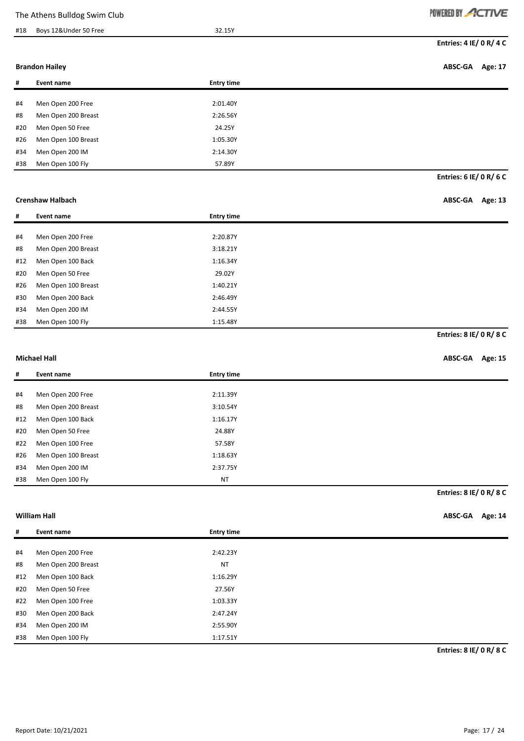### #18 Boys 12&Under 50 Free 32.15Y

POWERED BY ACTIVE

**Entries: 4 IE/ 0 R/ 4 C**

#### **Brandon Hailey ABSC-GA Age: 17**

| #   | Event name          | <b>Entry time</b> |
|-----|---------------------|-------------------|
|     |                     |                   |
| #4  | Men Open 200 Free   | 2:01.40Y          |
| #8  | Men Open 200 Breast | 2:26.56Y          |
| #20 | Men Open 50 Free    | 24.25Y            |
| #26 | Men Open 100 Breast | 1:05.30Y          |
| #34 | Men Open 200 IM     | 2:14.30Y          |
| #38 | Men Open 100 Fly    | 57.89Y            |

**Entries: 6 IE/ 0 R/ 6 C**

### **Crenshaw Halbach ABSC-GA Age: 13**

| #   | Event name          | <b>Entry time</b> |
|-----|---------------------|-------------------|
|     |                     |                   |
| #4  | Men Open 200 Free   | 2:20.87Y          |
| #8  | Men Open 200 Breast | 3:18.21Y          |
| #12 | Men Open 100 Back   | 1:16.34Y          |
| #20 | Men Open 50 Free    | 29.02Y            |
| #26 | Men Open 100 Breast | 1:40.21Y          |
| #30 | Men Open 200 Back   | 2:46.49Y          |
| #34 | Men Open 200 IM     | 2:44.55Y          |
| #38 | Men Open 100 Fly    | 1:15.48Y          |

**Entries: 8 IE/ 0 R/ 8 C**

#### **Michael Hall ABSC-GA Age: 15**

| #   | Event name          | <b>Entry time</b> |
|-----|---------------------|-------------------|
|     |                     |                   |
|     |                     |                   |
| #4  | Men Open 200 Free   | 2:11.39Y          |
| #8  | Men Open 200 Breast | 3:10.54Y          |
| #12 | Men Open 100 Back   | 1:16.17Y          |
| #20 | Men Open 50 Free    | 24.88Y            |
| #22 | Men Open 100 Free   | 57.58Y            |
| #26 | Men Open 100 Breast | 1:18.63Y          |
| #34 | Men Open 200 IM     | 2:37.75Y          |
| #38 | Men Open 100 Fly    | <b>NT</b>         |

**Entries: 8 IE/ 0 R/ 8 C**

**William Hall ABSC-GA Age: 14**

| #   | Event name          | <b>Entry time</b> |
|-----|---------------------|-------------------|
|     |                     |                   |
| #4  | Men Open 200 Free   | 2:42.23Y          |
| #8  | Men Open 200 Breast | <b>NT</b>         |
| #12 | Men Open 100 Back   | 1:16.29Y          |
| #20 | Men Open 50 Free    | 27.56Y            |
| #22 | Men Open 100 Free   | 1:03.33Y          |
| #30 | Men Open 200 Back   | 2:47.24Y          |
| #34 | Men Open 200 IM     | 2:55.90Y          |
| #38 | Men Open 100 Fly    | 1:17.51Y          |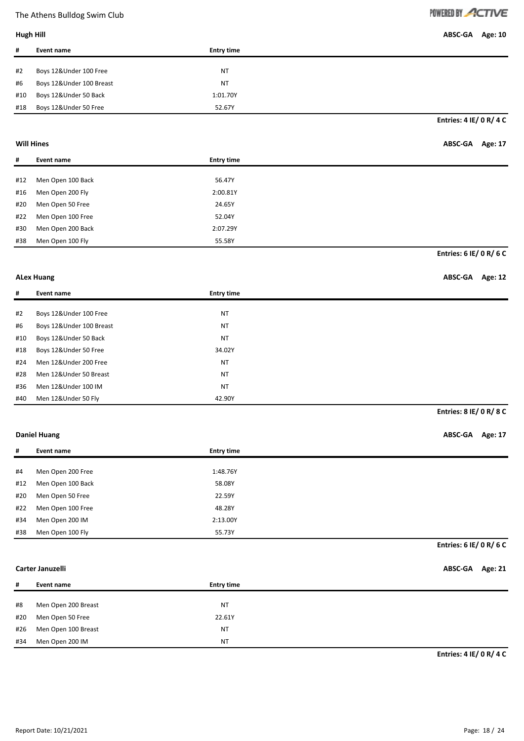# POWERED BY ACTIVE

**Hugh Hill ABSC-GA Age: 10**

| Hugh Hill |  |  |  |
|-----------|--|--|--|
|-----------|--|--|--|

| #   | Event name               | <b>Entry time</b> |
|-----|--------------------------|-------------------|
|     |                          |                   |
| #2  | Boys 12&Under 100 Free   | NT                |
| #6  | Boys 12&Under 100 Breast | NT                |
| #10 | Boys 12&Under 50 Back    | 1:01.70Y          |
| #18 | Boys 12&Under 50 Free    | 52.67Y            |

**Entries: 4 IE/ 0 R/ 4 C**

| Will Hines | ABSC-GA Age: 17 |  |
|------------|-----------------|--|
|------------|-----------------|--|

| #   | Event name        | <b>Entry time</b> |                         |
|-----|-------------------|-------------------|-------------------------|
|     |                   |                   |                         |
| #12 | Men Open 100 Back | 56.47Y            |                         |
| #16 | Men Open 200 Fly  | 2:00.81Y          |                         |
| #20 | Men Open 50 Free  | 24.65Y            |                         |
| #22 | Men Open 100 Free | 52.04Y            |                         |
| #30 | Men Open 200 Back | 2:07.29Y          |                         |
| #38 | Men Open 100 Fly  | 55.58Y            |                         |
|     |                   |                   | Entries: 6 IE/ 0 R/ 6 C |

### **ALex Huang ABSC-GA Age: 12**

| #   | Event name               | <b>Entry time</b> |
|-----|--------------------------|-------------------|
|     |                          |                   |
| #2  | Boys 12&Under 100 Free   | <b>NT</b>         |
| #6  | Boys 12&Under 100 Breast | <b>NT</b>         |
| #10 | Boys 12&Under 50 Back    | <b>NT</b>         |
| #18 | Boys 12&Under 50 Free    | 34.02Y            |
| #24 | Men 12&Under 200 Free    | <b>NT</b>         |
| #28 | Men 12&Under 50 Breast   | <b>NT</b>         |
| #36 | Men 12&Under 100 IM      | <b>NT</b>         |
| #40 | Men 12&Under 50 Fly      | 42.90Y            |

**Entries: 8 IE/ 0 R/ 8 C**

### **Daniel Huang ABSC-GA Age: 17**

| #   | Event name        | <b>Entry time</b> |
|-----|-------------------|-------------------|
|     |                   |                   |
| #4  | Men Open 200 Free | 1:48.76Y          |
| #12 | Men Open 100 Back | 58.08Y            |
| #20 | Men Open 50 Free  | 22.59Y            |
| #22 | Men Open 100 Free | 48.28Y            |
| #34 | Men Open 200 IM   | 2:13.00Y          |
| #38 | Men Open 100 Fly  | 55.73Y            |

### **Entries: 6 IE/ 0 R/ 6 C**

#### **Carter Januzelli ABSC-GA Age: 21**

| #   | Event name          | <b>Entry time</b> |
|-----|---------------------|-------------------|
|     |                     |                   |
| #8  | Men Open 200 Breast | ΝT                |
| #20 | Men Open 50 Free    | 22.61Y            |
| #26 | Men Open 100 Breast | <b>NT</b>         |
| #34 | Men Open 200 IM     | NT                |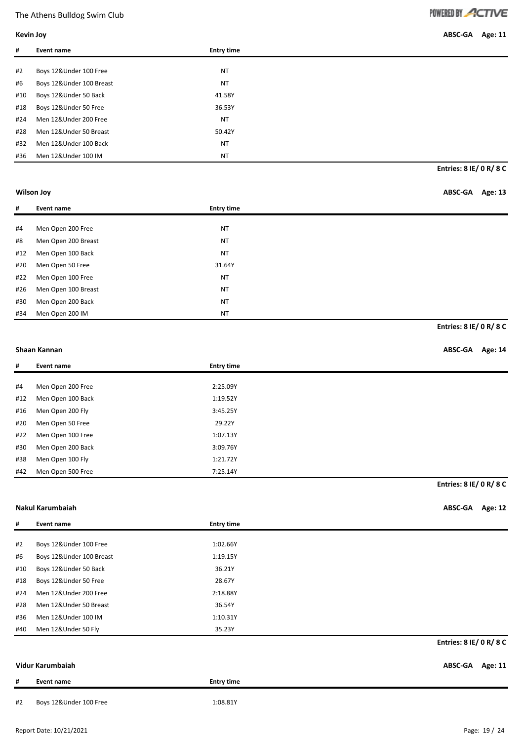**Kevin Joy ABSC-GA Age: 11**

| #   | Event name               | <b>Entry time</b> |  |
|-----|--------------------------|-------------------|--|
|     |                          |                   |  |
| #2  | Boys 12&Under 100 Free   | <b>NT</b>         |  |
| #6  | Boys 12&Under 100 Breast | <b>NT</b>         |  |
| #10 | Boys 12&Under 50 Back    | 41.58Y            |  |
| #18 | Boys 12&Under 50 Free    | 36.53Y            |  |
| #24 | Men 12&Under 200 Free    | <b>NT</b>         |  |
| #28 | Men 12&Under 50 Breast   | 50.42Y            |  |
| #32 | Men 12&Under 100 Back    | <b>NT</b>         |  |
| #36 | Men 12&Under 100 IM      | <b>NT</b>         |  |

**Entries: 8 IE/ 0 R/ 8 C**

### **Wilson Joy ABSC-GA Age: 13**

| #   | Event name          | <b>Entry time</b> |
|-----|---------------------|-------------------|
|     |                     |                   |
| #4  | Men Open 200 Free   | <b>NT</b>         |
| #8  | Men Open 200 Breast | <b>NT</b>         |
| #12 | Men Open 100 Back   | <b>NT</b>         |
| #20 | Men Open 50 Free    | 31.64Y            |
| #22 | Men Open 100 Free   | <b>NT</b>         |
| #26 | Men Open 100 Breast | <b>NT</b>         |
| #30 | Men Open 200 Back   | <b>NT</b>         |
| #34 | Men Open 200 IM     | <b>NT</b>         |

### **Entries: 8 IE/ 0 R/ 8 C**

#### **Shaan Kannan ABSC-GA Age: 14**

| #   | Event name        | <b>Entry time</b> |
|-----|-------------------|-------------------|
|     |                   |                   |
| #4  | Men Open 200 Free | 2:25.09Y          |
| #12 | Men Open 100 Back | 1:19.52Y          |
| #16 | Men Open 200 Fly  | 3:45.25Y          |
| #20 | Men Open 50 Free  | 29.22Y            |
| #22 | Men Open 100 Free | 1:07.13Y          |
| #30 | Men Open 200 Back | 3:09.76Y          |
| #38 | Men Open 100 Fly  | 1:21.72Y          |
| #42 | Men Open 500 Free | 7:25.14Y          |

## **Entries: 8 IE/ 0 R/ 8 C**

**Nakul Karumbaiah ABSC-GA Age: 12**

| #   | Event name               | <b>Entry time</b> |                                |
|-----|--------------------------|-------------------|--------------------------------|
|     |                          |                   |                                |
| #2  | Boys 12&Under 100 Free   | 1:02.66Y          |                                |
| #6  | Boys 12&Under 100 Breast | 1:19.15Y          |                                |
| #10 | Boys 12&Under 50 Back    | 36.21Y            |                                |
| #18 | Boys 12&Under 50 Free    | 28.67Y            |                                |
| #24 | Men 12&Under 200 Free    | 2:18.88Y          |                                |
| #28 | Men 12&Under 50 Breast   | 36.54Y            |                                |
| #36 | Men 12&Under 100 IM      | 1:10.31Y          |                                |
| #40 | Men 12&Under 50 Fly      | 35.23Y            |                                |
|     |                          |                   | <b>Entries: 8 IE/ 0 R/ 8 C</b> |
|     |                          |                   |                                |

| Vidur Karumbaiah |            |                   | ABSC-GA Age: 11 |  |
|------------------|------------|-------------------|-----------------|--|
| #                | Event name | <b>Entry time</b> |                 |  |

#2 Boys 12&Under 100 Free 1:08.81Y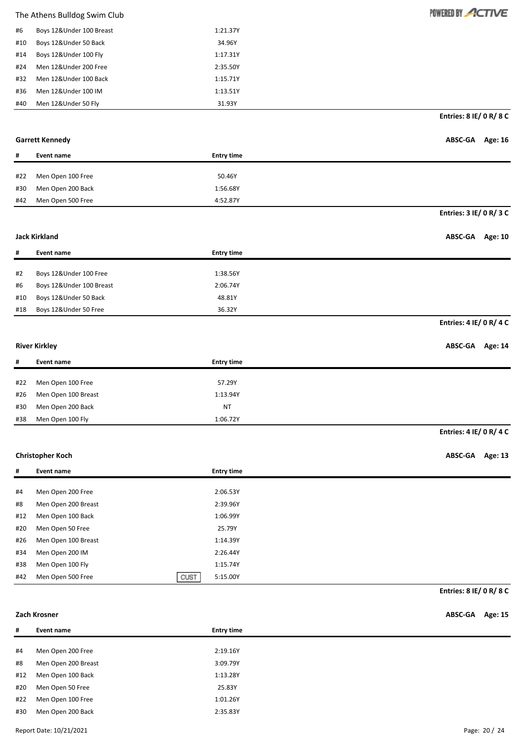| #6  | Boys 12& Under 100 Breast | 1:21.37Y |
|-----|---------------------------|----------|
| #10 | Boys 12&Under 50 Back     | 34.96Y   |
| #14 | Boys 12&Under 100 Fly     | 1:17.31Y |
| #24 | Men 12&Under 200 Free     | 2:35.50Y |
| #32 | Men 12&Under 100 Back     | 1:15.71Y |
| #36 | Men 12&Under 100 IM       | 1:13.51Y |
| #40 | Men 12&Under 50 Fly       | 31.93Y   |

**Entries: 8 IE/ 0 R/ 8 C**

POWERED BY ACTIVE

| <b>Garrett Kennedy</b> | ABSC-GA Age: 16 |  |
|------------------------|-----------------|--|
|                        |                 |  |

**Entries: 3 IE/ 0 R/ 3 C**

| #   | Event name        | <b>Entry time</b> |
|-----|-------------------|-------------------|
|     |                   |                   |
| #22 | Men Open 100 Free | 50.46Y            |
| #30 | Men Open 200 Back | 1:56.68Y          |
| #42 | Men Open 500 Free | 4:52.87Y          |

#### **Jack Kirkland ABSC-GA Age: 10**

| #   | Event name               | <b>Entry time</b> |
|-----|--------------------------|-------------------|
|     |                          |                   |
| #2  | Boys 12&Under 100 Free   | 1:38.56Y          |
| #6  | Boys 12&Under 100 Breast | 2:06.74Y          |
| #10 | Boys 12&Under 50 Back    | 48.81Y            |
| #18 | Boys 12&Under 50 Free    | 36.32Y            |

### **Entries: 4 IE/ 0 R/ 4 C**

**River Kirkley ABSC-GA Age: 14**

**Entries: 4 IE/ 0 R/ 4 C**

| #   | Event name          | <b>Entry time</b> |
|-----|---------------------|-------------------|
|     |                     |                   |
| #22 | Men Open 100 Free   | 57.29Y            |
| #26 | Men Open 100 Breast | 1:13.94Y          |
| #30 | Men Open 200 Back   | <b>NT</b>         |
| #38 | Men Open 100 Fly    | 1:06.72Y          |

### **Christopher Koch ABSC-GA Age: 13**

| #   | Event name                | <b>Entry time</b> |
|-----|---------------------------|-------------------|
|     |                           |                   |
| #4  | Men Open 200 Free         | 2:06.53Y          |
| #8  | Men Open 200 Breast       | 2:39.96Y          |
| #12 | Men Open 100 Back         | 1:06.99Y          |
| #20 | Men Open 50 Free          | 25.79Y            |
| #26 | Men Open 100 Breast       | 1:14.39Y          |
| #34 | Men Open 200 IM           | 2:26.44Y          |
| #38 | Men Open 100 Fly          | 1:15.74Y          |
| #42 | CUST<br>Men Open 500 Free | 5:15.00Y          |

**Entries: 8 IE/ 0 R/ 8 C**

**Zach Krosner ABSC-GA Age: 15**

| #   | Event name          | <b>Entry time</b> |
|-----|---------------------|-------------------|
|     |                     |                   |
| #4  | Men Open 200 Free   | 2:19.16Y          |
| #8  | Men Open 200 Breast | 3:09.79Y          |
| #12 | Men Open 100 Back   | 1:13.28Y          |
| #20 | Men Open 50 Free    | 25.83Y            |
| #22 | Men Open 100 Free   | 1:01.26Y          |
| #30 | Men Open 200 Back   | 2:35.83Y          |
|     |                     |                   |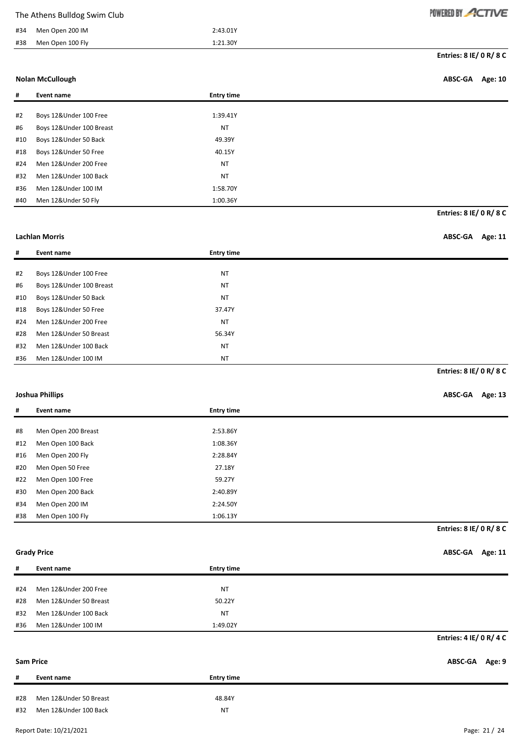| #34 | Men Open 200 IM          | 2:43.01Y          |                           |
|-----|--------------------------|-------------------|---------------------------|
| #38 | Men Open 100 Fly         | 1:21.30Y          |                           |
|     |                          |                   | Entries: 8 IE/ 0 R/ 8 C   |
|     | <b>Nolan McCullough</b>  |                   | ABSC-GA<br><b>Age: 10</b> |
| #   | <b>Event name</b>        | <b>Entry time</b> |                           |
| #2  | Boys 12&Under 100 Free   | 1:39.41Y          |                           |
| #6  | Boys 12&Under 100 Breast | <b>NT</b>         |                           |
| #10 | Boys 12&Under 50 Back    | 49.39Y            |                           |
| #18 | Boys 12&Under 50 Free    | 40.15Y            |                           |
| #24 | Men 12&Under 200 Free    | <b>NT</b>         |                           |
| #32 | Men 12&Under 100 Back    | <b>NT</b>         |                           |
| #36 | Men 12&Under 100 IM      | 1:58.70Y          |                           |
| #40 | Men 12&Under 50 Fly      | 1:00.36Y          |                           |
|     |                          |                   | Entries: 8 IE/ 0 R/ 8 C   |
|     |                          |                   |                           |
|     | <b>Lachlan Morris</b>    |                   | ABSC-GA<br><b>Age: 11</b> |
| #   | <b>Event name</b>        | <b>Entry time</b> |                           |
|     |                          |                   |                           |
| #2  | Boys 12&Under 100 Free   | <b>NT</b>         |                           |
| #6  | Boys 12&Under 100 Breast | <b>NT</b>         |                           |
| #10 | Boys 12&Under 50 Back    | <b>NT</b>         |                           |
| #18 | Boys 12&Under 50 Free    | 37.47Y            |                           |
| #24 | Men 12&Under 200 Free    | <b>NT</b>         |                           |
| #28 | Men 12&Under 50 Breast   | 56.34Y            |                           |
| #32 | Men 12&Under 100 Back    | <b>NT</b>         |                           |
| #36 | Men 12&Under 100 IM      | <b>NT</b>         |                           |
|     |                          |                   | Entries: 8 IE/ 0 R/ 8 C   |
|     | <b>Joshua Phillips</b>   |                   | ABSC-GA Age: 13           |
|     | <b>Event name</b>        | <b>Entry time</b> |                           |
| #8  | Men Open 200 Breast      | 2:53.86Y          |                           |
| #12 | Men Open 100 Back        | 1:08.36Y          |                           |
| #16 | Men Open 200 Fly         | 2:28.84Y          |                           |
| #20 | Men Open 50 Free         | 27.18Y            |                           |
| #22 | Men Open 100 Free        | 59.27Y            |                           |
| #30 | Men Open 200 Back        | 2:40.89Y          |                           |
| #34 | Men Open 200 IM          | 2:24.50Y          |                           |
| #38 | Men Open 100 Fly         | 1:06.13Y          |                           |
|     |                          |                   |                           |

**Entries: 8 IE/ 0 R/ 8 C**

POWERED BY ACTIVE

**Grady Price ABSC-GA Age: 11**

| #   | Event name             | <b>Entry time</b> |                                |
|-----|------------------------|-------------------|--------------------------------|
|     |                        |                   |                                |
| #24 | Men 12&Under 200 Free  | <b>NT</b>         |                                |
| #28 | Men 12&Under 50 Breast | 50.22Y            |                                |
| #32 | Men 12&Under 100 Back  | <b>NT</b>         |                                |
| #36 | Men 12&Under 100 IM    | 1:49.02Y          |                                |
|     |                        |                   | <b>Entries: 4 IE/ 0 R/ 4 C</b> |
|     | <b>Sam Price</b>       |                   | Age: 9<br>ABSC-GA              |

# **# Event name Entry time** #28 Men 12&Under 50 Breast 48.84Y #32 Men 12&Under 100 Back NT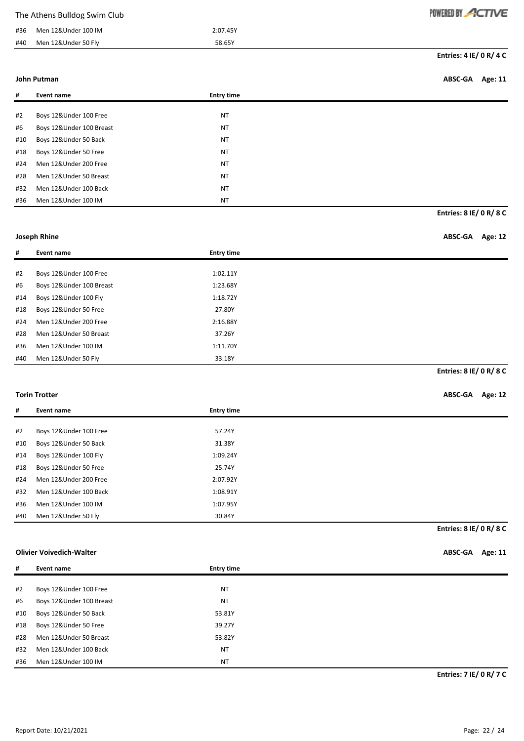| The Athens Bulldog Swim Club |  |  |  |
|------------------------------|--|--|--|
|------------------------------|--|--|--|

| #36 | Men 12&Under 100 IM | 2:07.45Y |
|-----|---------------------|----------|
| #40 | Men 12&Under 50 Fly | 58.65Y   |

POWERED BY ACTIVE

#### **John Putman ABSC-GA Age: 11**

| #   | Event name               | <b>Entry time</b> |
|-----|--------------------------|-------------------|
|     |                          |                   |
| #2  | Boys 12&Under 100 Free   | <b>NT</b>         |
| #6  | Boys 12&Under 100 Breast | <b>NT</b>         |
| #10 | Boys 12&Under 50 Back    | <b>NT</b>         |
| #18 | Boys 12&Under 50 Free    | <b>NT</b>         |
| #24 | Men 12&Under 200 Free    | <b>NT</b>         |
| #28 | Men 12&Under 50 Breast   | <b>NT</b>         |
| #32 | Men 12&Under 100 Back    | <b>NT</b>         |
| #36 | Men 12&Under 100 IM      | <b>NT</b>         |

**Entries: 8 IE/ 0 R/ 8 C**

| Joseph Rhine | ABSC-GA Age: 12 |  |
|--------------|-----------------|--|
|              |                 |  |

| #   | Event name               | <b>Entry time</b> |
|-----|--------------------------|-------------------|
|     |                          |                   |
| #2  | Boys 12&Under 100 Free   | 1:02.11Y          |
| #6  | Boys 12&Under 100 Breast | 1:23.68Y          |
| #14 | Boys 12&Under 100 Fly    | 1:18.72Y          |
| #18 | Boys 12&Under 50 Free    | 27.80Y            |
| #24 | Men 12&Under 200 Free    | 2:16.88Y          |
| #28 | Men 12&Under 50 Breast   | 37.26Y            |
| #36 | Men 12&Under 100 IM      | 1:11.70Y          |
| #40 | Men 12&Under 50 Fly      | 33.18Y            |

**Entries: 8 IE/ 0 R/ 8 C**

| <b>Torin Trotter</b> | ABSC-GA Age: 12 |  |
|----------------------|-----------------|--|
|----------------------|-----------------|--|

| #   | Event name             | <b>Entry time</b> |                                |
|-----|------------------------|-------------------|--------------------------------|
|     |                        |                   |                                |
| #2  | Boys 12&Under 100 Free | 57.24Y            |                                |
| #10 | Boys 12&Under 50 Back  | 31.38Y            |                                |
| #14 | Boys 12&Under 100 Fly  | 1:09.24Y          |                                |
| #18 | Boys 12&Under 50 Free  | 25.74Y            |                                |
| #24 | Men 12&Under 200 Free  | 2:07.92Y          |                                |
| #32 | Men 12&Under 100 Back  | 1:08.91Y          |                                |
| #36 | Men 12&Under 100 IM    | 1:07.95Y          |                                |
| #40 | Men 12&Under 50 Fly    | 30.84Y            |                                |
|     |                        |                   | <b>Entries: 8 IE/ 0 R/ 8 C</b> |

### **Olivier Voivedich-Walter ABSC-GA Age: 11**

| #   | Event name               | <b>Entry time</b> |
|-----|--------------------------|-------------------|
|     |                          |                   |
| #2  | Boys 12&Under 100 Free   | <b>NT</b>         |
| #6  | Boys 12&Under 100 Breast | <b>NT</b>         |
| #10 | Boys 12&Under 50 Back    | 53.81Y            |
| #18 | Boys 12&Under 50 Free    | 39.27Y            |
| #28 | Men 12&Under 50 Breast   | 53.82Y            |
| #32 | Men 12&Under 100 Back    | <b>NT</b>         |
| #36 | Men 12&Under 100 IM      | <b>NT</b>         |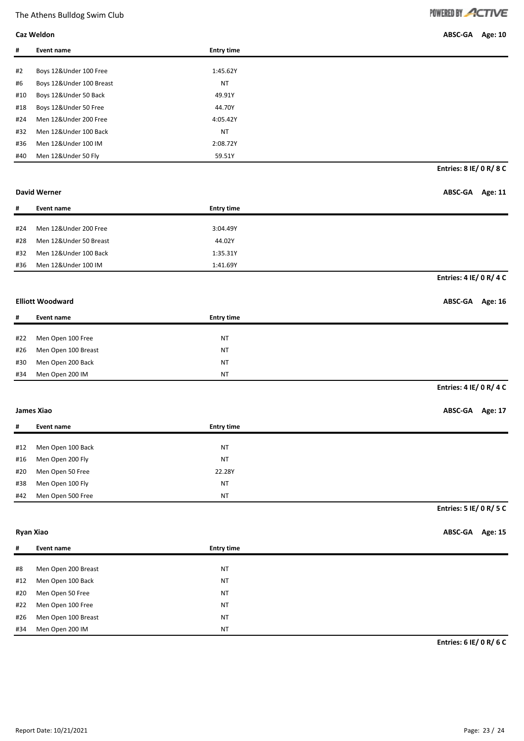| POWERED BY ACTIVE |  |  |  |
|-------------------|--|--|--|
|                   |  |  |  |

| Caz Weldon | ABSC-GA Age: 10 |  |
|------------|-----------------|--|
|------------|-----------------|--|

| #   | Event name               | <b>Entry time</b> |
|-----|--------------------------|-------------------|
|     |                          |                   |
| #2  | Boys 12&Under 100 Free   | 1:45.62Y          |
| #6  | Boys 12&Under 100 Breast | <b>NT</b>         |
| #10 | Boys 12&Under 50 Back    | 49.91Y            |
| #18 | Boys 12&Under 50 Free    | 44.70Y            |
| #24 | Men 12&Under 200 Free    | 4:05.42Y          |
| #32 | Men 12&Under 100 Back    | <b>NT</b>         |
| #36 | Men 12&Under 100 IM      | 2:08.72Y          |
| #40 | Men 12&Under 50 Fly      | 59.51Y            |

#### **David Werner ABSC-GA Age: 11**

**Entries: 8 IE/ 0 R/ 8 C**

| #   | Event name             | <b>Entry time</b> |                         |
|-----|------------------------|-------------------|-------------------------|
|     |                        |                   |                         |
| #24 | Men 12&Under 200 Free  | 3:04.49Y          |                         |
| #28 | Men 12&Under 50 Breast | 44.02Y            |                         |
| #32 | Men 12&Under 100 Back  | 1:35.31Y          |                         |
| #36 | Men 12&Under 100 IM    | 1:41.69Y          |                         |
|     |                        |                   | Entries: 4 IE/ 0 R/ 4 C |

#### **Elliott Woodward ABSC-GA Age: 16**

| #   | Event name          | <b>Entry time</b> |
|-----|---------------------|-------------------|
|     |                     |                   |
| #22 | Men Open 100 Free   | <b>NT</b>         |
| #26 | Men Open 100 Breast | <b>NT</b>         |
| #30 | Men Open 200 Back   | <b>NT</b>         |
| #34 | Men Open 200 IM     | <b>NT</b>         |

### **Entries: 4 IE/ 0 R/ 4 C**

### **James Xiao ABSC-GA Age: 17**

| #   | Event name        | <b>Entry time</b> |
|-----|-------------------|-------------------|
|     |                   |                   |
| #12 | Men Open 100 Back | ΝT                |
| #16 | Men Open 200 Fly  | <b>NT</b>         |
| #20 | Men Open 50 Free  | 22.28Y            |
| #38 | Men Open 100 Fly  | <b>NT</b>         |
| #42 | Men Open 500 Free | <b>NT</b>         |

#### **Entries: 5 IE/ 0 R/ 5 C**

**Ryan Xiao ABSC-GA Age: 15**

| #   | Event name          | <b>Entry time</b> |
|-----|---------------------|-------------------|
|     |                     |                   |
| #8  | Men Open 200 Breast | <b>NT</b>         |
| #12 | Men Open 100 Back   | <b>NT</b>         |
| #20 | Men Open 50 Free    | <b>NT</b>         |
| #22 | Men Open 100 Free   | <b>NT</b>         |
| #26 | Men Open 100 Breast | <b>NT</b>         |
| #34 | Men Open 200 IM     | <b>NT</b>         |